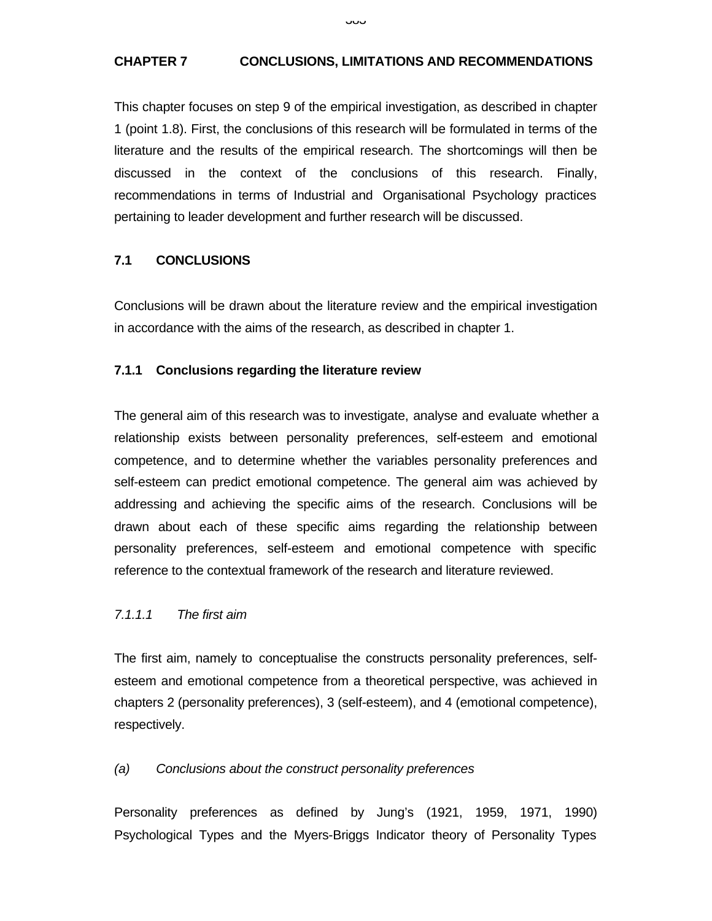### **CHAPTER 7 CONCLUSIONS, LIMITATIONS AND RECOMMENDATIONS**

This chapter focuses on step 9 of the empirical investigation, as described in chapter 1 (point 1.8). First, the conclusions of this research will be formulated in terms of the literature and the results of the empirical research. The shortcomings will then be discussed in the context of the conclusions of this research. Finally, recommendations in terms of Industrial and Organisational Psychology practices pertaining to leader development and further research will be discussed.

### **7.1 CONCLUSIONS**

Conclusions will be drawn about the literature review and the empirical investigation in accordance with the aims of the research, as described in chapter 1.

#### **7.1.1 Conclusions regarding the literature review**

The general aim of this research was to investigate, analyse and evaluate whether a relationship exists between personality preferences, self-esteem and emotional competence, and to determine whether the variables personality preferences and self-esteem can predict emotional competence. The general aim was achieved by addressing and achieving the specific aims of the research. Conclusions will be drawn about each of these specific aims regarding the relationship between personality preferences, self-esteem and emotional competence with specific reference to the contextual framework of the research and literature reviewed.

#### *7.1.1.1 The first aim*

The first aim, namely to conceptualise the constructs personality preferences, selfesteem and emotional competence from a theoretical perspective, was achieved in chapters 2 (personality preferences), 3 (self-esteem), and 4 (emotional competence), respectively.

#### *(a) Conclusions about the construct personality preferences*

Personality preferences as defined by Jung's (1921, 1959, 1971, 1990) Psychological Types and the Myers-Briggs Indicator theory of Personality Types

ںں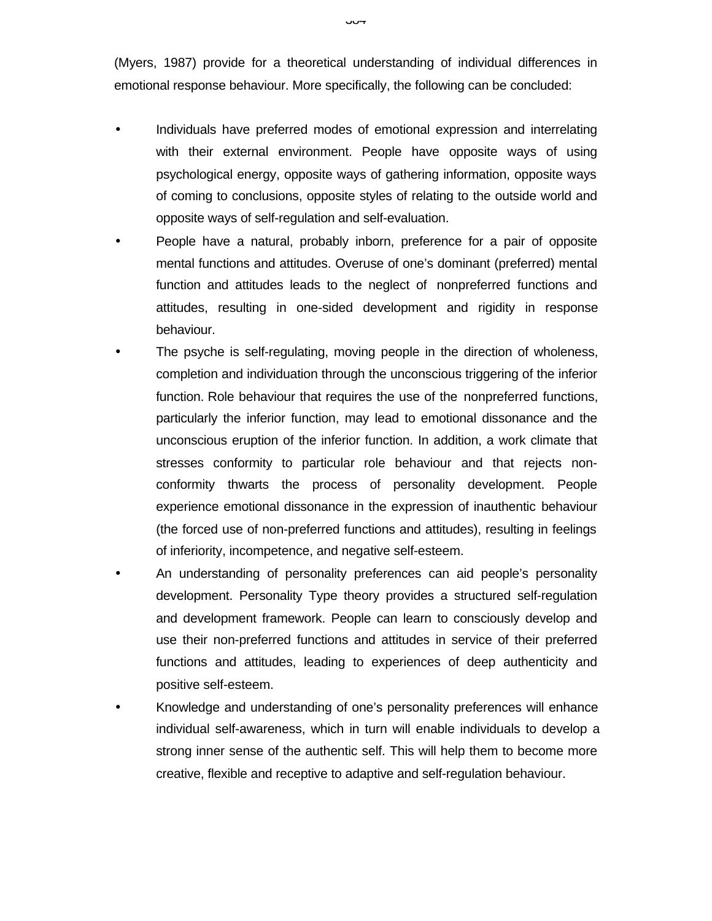(Myers, 1987) provide for a theoretical understanding of individual differences in emotional response behaviour. More specifically, the following can be concluded:

- Individuals have preferred modes of emotional expression and interrelating with their external environment. People have opposite ways of using psychological energy, opposite ways of gathering information, opposite ways of coming to conclusions, opposite styles of relating to the outside world and opposite ways of self-regulation and self-evaluation.
- People have a natural, probably inborn, preference for a pair of opposite mental functions and attitudes. Overuse of one's dominant (preferred) mental function and attitudes leads to the neglect of nonpreferred functions and attitudes, resulting in one-sided development and rigidity in response behaviour.
- The psyche is self-regulating, moving people in the direction of wholeness, completion and individuation through the unconscious triggering of the inferior function. Role behaviour that requires the use of the nonpreferred functions, particularly the inferior function, may lead to emotional dissonance and the unconscious eruption of the inferior function. In addition, a work climate that stresses conformity to particular role behaviour and that rejects nonconformity thwarts the process of personality development. People experience emotional dissonance in the expression of inauthentic behaviour (the forced use of non-preferred functions and attitudes), resulting in feelings of inferiority, incompetence, and negative self-esteem.
- An understanding of personality preferences can aid people's personality development. Personality Type theory provides a structured self-regulation and development framework. People can learn to consciously develop and use their non-preferred functions and attitudes in service of their preferred functions and attitudes, leading to experiences of deep authenticity and positive self-esteem.
- Knowledge and understanding of one's personality preferences will enhance individual self-awareness, which in turn will enable individuals to develop a strong inner sense of the authentic self. This will help them to become more creative, flexible and receptive to adaptive and self-regulation behaviour.

ייט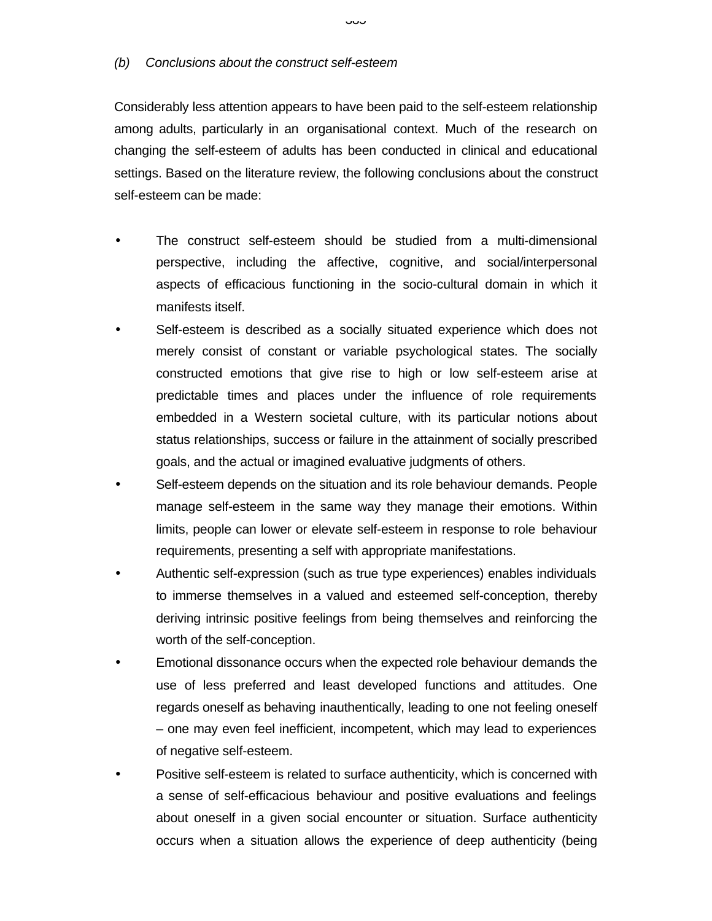#### *(b) Conclusions about the construct self-esteem*

Considerably less attention appears to have been paid to the self-esteem relationship among adults, particularly in an organisational context. Much of the research on changing the self-esteem of adults has been conducted in clinical and educational settings. Based on the literature review, the following conclusions about the construct self-esteem can be made:

- The construct self-esteem should be studied from a multi-dimensional perspective, including the affective, cognitive, and social/interpersonal aspects of efficacious functioning in the socio-cultural domain in which it manifests itself.
- Self-esteem is described as a socially situated experience which does not merely consist of constant or variable psychological states. The socially constructed emotions that give rise to high or low self-esteem arise at predictable times and places under the influence of role requirements embedded in a Western societal culture, with its particular notions about status relationships, success or failure in the attainment of socially prescribed goals, and the actual or imagined evaluative judgments of others.
- Self-esteem depends on the situation and its role behaviour demands. People manage self-esteem in the same way they manage their emotions. Within limits, people can lower or elevate self-esteem in response to role behaviour requirements, presenting a self with appropriate manifestations.
- Authentic self-expression (such as true type experiences) enables individuals to immerse themselves in a valued and esteemed self-conception, thereby deriving intrinsic positive feelings from being themselves and reinforcing the worth of the self-conception.
- Emotional dissonance occurs when the expected role behaviour demands the use of less preferred and least developed functions and attitudes. One regards oneself as behaving inauthentically, leading to one not feeling oneself – one may even feel inefficient, incompetent, which may lead to experiences of negative self-esteem.
- Positive self-esteem is related to surface authenticity, which is concerned with a sense of self-efficacious behaviour and positive evaluations and feelings about oneself in a given social encounter or situation. Surface authenticity occurs when a situation allows the experience of deep authenticity (being

نٽن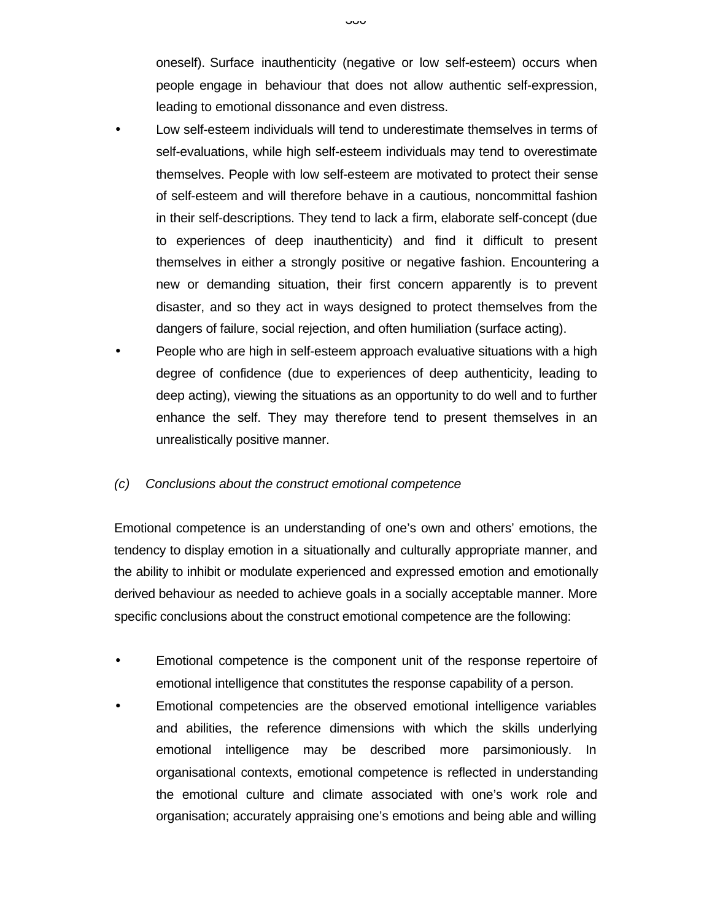oneself). Surface inauthenticity (negative or low self-esteem) occurs when people engage in behaviour that does not allow authentic self-expression, leading to emotional dissonance and even distress.

- Low self-esteem individuals will tend to underestimate themselves in terms of self-evaluations, while high self-esteem individuals may tend to overestimate themselves. People with low self-esteem are motivated to protect their sense of self-esteem and will therefore behave in a cautious, noncommittal fashion in their self-descriptions. They tend to lack a firm, elaborate self-concept (due to experiences of deep inauthenticity) and find it difficult to present themselves in either a strongly positive or negative fashion. Encountering a new or demanding situation, their first concern apparently is to prevent disaster, and so they act in ways designed to protect themselves from the dangers of failure, social rejection, and often humiliation (surface acting).
- People who are high in self-esteem approach evaluative situations with a high degree of confidence (due to experiences of deep authenticity, leading to deep acting), viewing the situations as an opportunity to do well and to further enhance the self. They may therefore tend to present themselves in an unrealistically positive manner.

#### *(c) Conclusions about the construct emotional competence*

Emotional competence is an understanding of one's own and others' emotions, the tendency to display emotion in a situationally and culturally appropriate manner, and the ability to inhibit or modulate experienced and expressed emotion and emotionally derived behaviour as needed to achieve goals in a socially acceptable manner. More specific conclusions about the construct emotional competence are the following:

- Emotional competence is the component unit of the response repertoire of emotional intelligence that constitutes the response capability of a person.
- Emotional competencies are the observed emotional intelligence variables and abilities, the reference dimensions with which the skills underlying emotional intelligence may be described more parsimoniously. In organisational contexts, emotional competence is reflected in understanding the emotional culture and climate associated with one's work role and organisation; accurately appraising one's emotions and being able and willing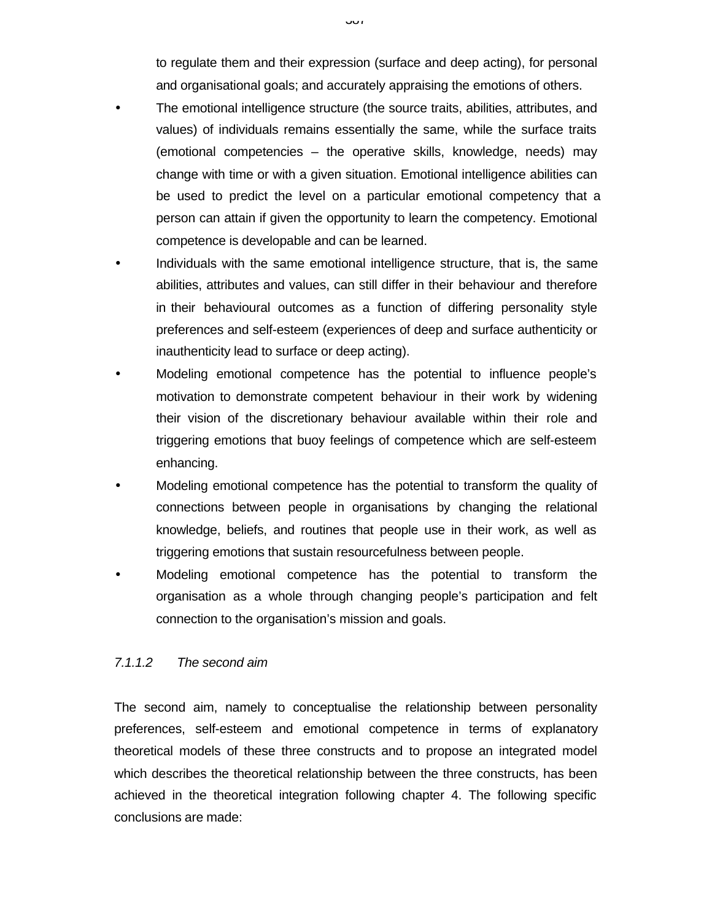to regulate them and their expression (surface and deep acting), for personal and organisational goals; and accurately appraising the emotions of others.

- The emotional intelligence structure (the source traits, abilities, attributes, and values) of individuals remains essentially the same, while the surface traits (emotional competencies – the operative skills, knowledge, needs) may change with time or with a given situation. Emotional intelligence abilities can be used to predict the level on a particular emotional competency that a person can attain if given the opportunity to learn the competency. Emotional competence is developable and can be learned.
- Individuals with the same emotional intelligence structure, that is, the same abilities, attributes and values, can still differ in their behaviour and therefore in their behavioural outcomes as a function of differing personality style preferences and self-esteem (experiences of deep and surface authenticity or inauthenticity lead to surface or deep acting).
- Modeling emotional competence has the potential to influence people's motivation to demonstrate competent behaviour in their work by widening their vision of the discretionary behaviour available within their role and triggering emotions that buoy feelings of competence which are self-esteem enhancing.
- Modeling emotional competence has the potential to transform the quality of connections between people in organisations by changing the relational knowledge, beliefs, and routines that people use in their work, as well as triggering emotions that sustain resourcefulness between people.
- Modeling emotional competence has the potential to transform the organisation as a whole through changing people's participation and felt connection to the organisation's mission and goals.

### *7.1.1.2 The second aim*

The second aim, namely to conceptualise the relationship between personality preferences, self-esteem and emotional competence in terms of explanatory theoretical models of these three constructs and to propose an integrated model which describes the theoretical relationship between the three constructs, has been achieved in the theoretical integration following chapter 4. The following specific conclusions are made: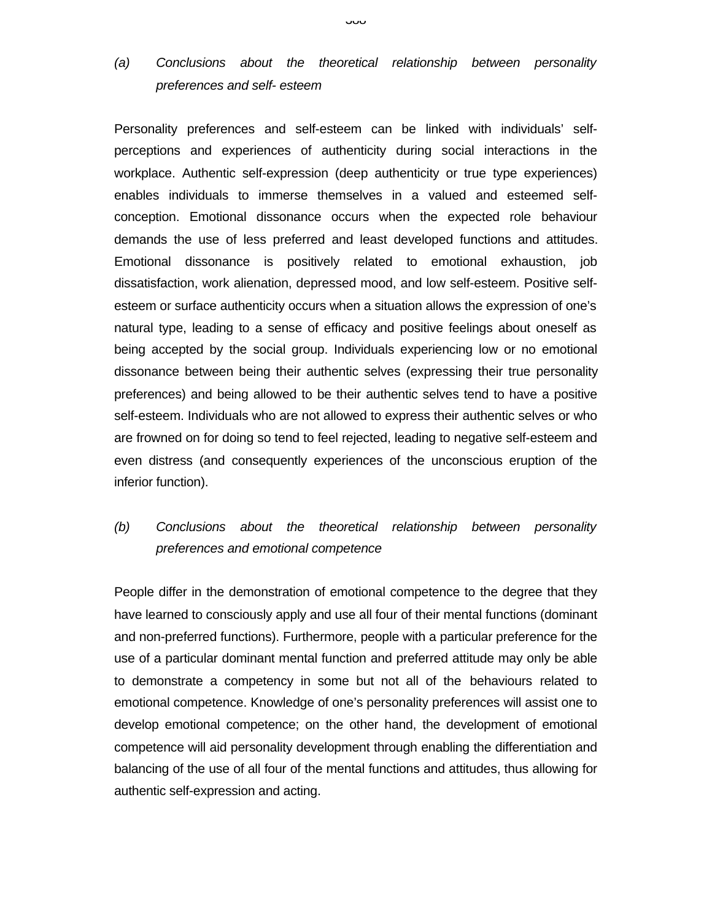# *(a) Conclusions about the theoretical relationship between personality preferences and self- esteem*

Personality preferences and self-esteem can be linked with individuals' selfperceptions and experiences of authenticity during social interactions in the workplace. Authentic self-expression (deep authenticity or true type experiences) enables individuals to immerse themselves in a valued and esteemed selfconception. Emotional dissonance occurs when the expected role behaviour demands the use of less preferred and least developed functions and attitudes. Emotional dissonance is positively related to emotional exhaustion, job dissatisfaction, work alienation, depressed mood, and low self-esteem. Positive selfesteem or surface authenticity occurs when a situation allows the expression of one's natural type, leading to a sense of efficacy and positive feelings about oneself as being accepted by the social group. Individuals experiencing low or no emotional dissonance between being their authentic selves (expressing their true personality preferences) and being allowed to be their authentic selves tend to have a positive self-esteem. Individuals who are not allowed to express their authentic selves or who are frowned on for doing so tend to feel rejected, leading to negative self-esteem and even distress (and consequently experiences of the unconscious eruption of the inferior function).

# *(b) Conclusions about the theoretical relationship between personality preferences and emotional competence*

People differ in the demonstration of emotional competence to the degree that they have learned to consciously apply and use all four of their mental functions (dominant and non-preferred functions). Furthermore, people with a particular preference for the use of a particular dominant mental function and preferred attitude may only be able to demonstrate a competency in some but not all of the behaviours related to emotional competence. Knowledge of one's personality preferences will assist one to develop emotional competence; on the other hand, the development of emotional competence will aid personality development through enabling the differentiation and balancing of the use of all four of the mental functions and attitudes, thus allowing for authentic self-expression and acting.

#### טטט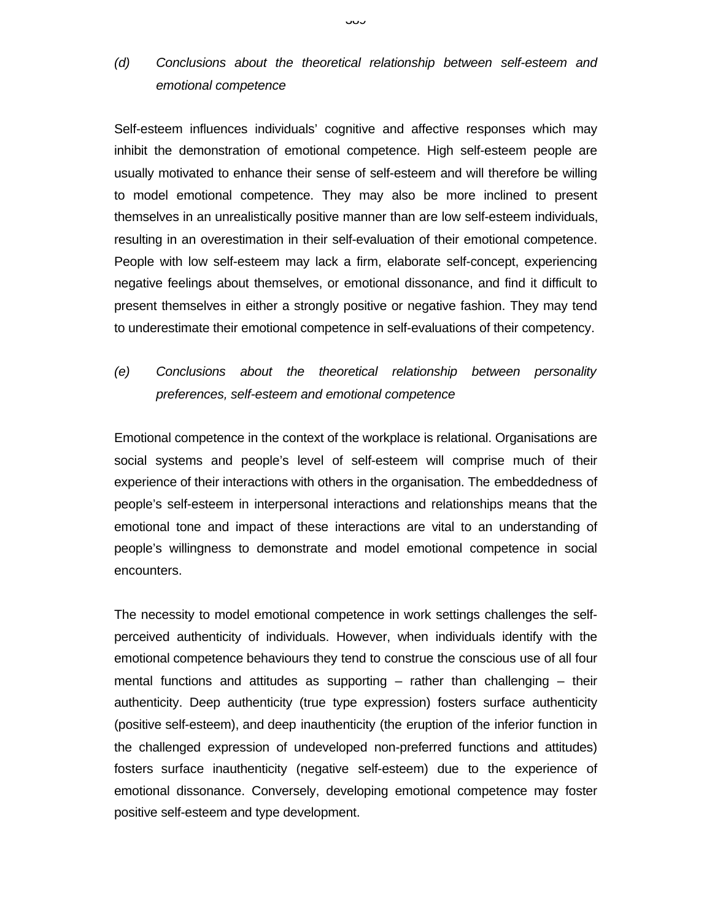# *(d) Conclusions about the theoretical relationship between self-esteem and emotional competence*

Self-esteem influences individuals' cognitive and affective responses which may inhibit the demonstration of emotional competence. High self-esteem people are usually motivated to enhance their sense of self-esteem and will therefore be willing to model emotional competence. They may also be more inclined to present themselves in an unrealistically positive manner than are low self-esteem individuals, resulting in an overestimation in their self-evaluation of their emotional competence. People with low self-esteem may lack a firm, elaborate self-concept, experiencing negative feelings about themselves, or emotional dissonance, and find it difficult to present themselves in either a strongly positive or negative fashion. They may tend to underestimate their emotional competence in self-evaluations of their competency.

# *(e) Conclusions about the theoretical relationship between personality preferences, self-esteem and emotional competence*

Emotional competence in the context of the workplace is relational. Organisations are social systems and people's level of self-esteem will comprise much of their experience of their interactions with others in the organisation. The embeddedness of people's self-esteem in interpersonal interactions and relationships means that the emotional tone and impact of these interactions are vital to an understanding of people's willingness to demonstrate and model emotional competence in social encounters.

The necessity to model emotional competence in work settings challenges the selfperceived authenticity of individuals. However, when individuals identify with the emotional competence behaviours they tend to construe the conscious use of all four mental functions and attitudes as supporting  $-$  rather than challenging  $-$  their authenticity. Deep authenticity (true type expression) fosters surface authenticity (positive self-esteem), and deep inauthenticity (the eruption of the inferior function in the challenged expression of undeveloped non-preferred functions and attitudes) fosters surface inauthenticity (negative self-esteem) due to the experience of emotional dissonance. Conversely, developing emotional competence may foster positive self-esteem and type development.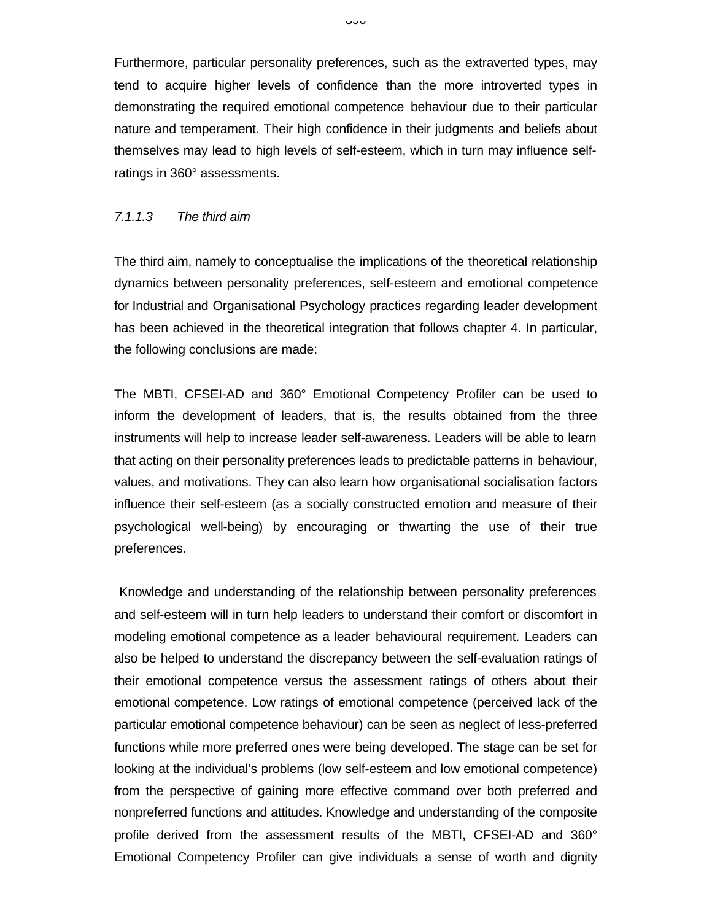Furthermore, particular personality preferences, such as the extraverted types, may tend to acquire higher levels of confidence than the more introverted types in demonstrating the required emotional competence behaviour due to their particular nature and temperament. Their high confidence in their judgments and beliefs about themselves may lead to high levels of self-esteem, which in turn may influence selfratings in 360° assessments.

#### *7.1.1.3 The third aim*

The third aim, namely to conceptualise the implications of the theoretical relationship dynamics between personality preferences, self-esteem and emotional competence for Industrial and Organisational Psychology practices regarding leader development has been achieved in the theoretical integration that follows chapter 4. In particular, the following conclusions are made:

The MBTI, CFSEI-AD and 360° Emotional Competency Profiler can be used to inform the development of leaders, that is, the results obtained from the three instruments will help to increase leader self-awareness. Leaders will be able to learn that acting on their personality preferences leads to predictable patterns in behaviour, values, and motivations. They can also learn how organisational socialisation factors influence their self-esteem (as a socially constructed emotion and measure of their psychological well-being) by encouraging or thwarting the use of their true preferences.

 Knowledge and understanding of the relationship between personality preferences and self-esteem will in turn help leaders to understand their comfort or discomfort in modeling emotional competence as a leader behavioural requirement. Leaders can also be helped to understand the discrepancy between the self-evaluation ratings of their emotional competence versus the assessment ratings of others about their emotional competence. Low ratings of emotional competence (perceived lack of the particular emotional competence behaviour) can be seen as neglect of less-preferred functions while more preferred ones were being developed. The stage can be set for looking at the individual's problems (low self-esteem and low emotional competence) from the perspective of gaining more effective command over both preferred and nonpreferred functions and attitudes. Knowledge and understanding of the composite profile derived from the assessment results of the MBTI, CFSEI-AD and 360° Emotional Competency Profiler can give individuals a sense of worth and dignity

טטט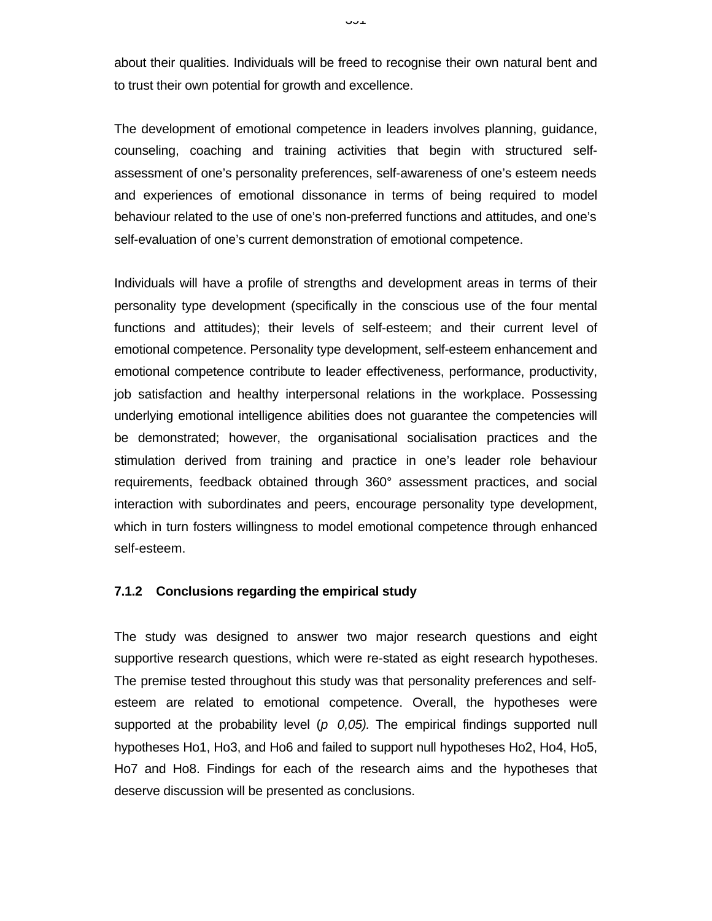about their qualities. Individuals will be freed to recognise their own natural bent and to trust their own potential for growth and excellence.

The development of emotional competence in leaders involves planning, guidance, counseling, coaching and training activities that begin with structured selfassessment of one's personality preferences, self-awareness of one's esteem needs and experiences of emotional dissonance in terms of being required to model behaviour related to the use of one's non-preferred functions and attitudes, and one's self-evaluation of one's current demonstration of emotional competence.

Individuals will have a profile of strengths and development areas in terms of their personality type development (specifically in the conscious use of the four mental functions and attitudes); their levels of self-esteem; and their current level of emotional competence. Personality type development, self-esteem enhancement and emotional competence contribute to leader effectiveness, performance, productivity, job satisfaction and healthy interpersonal relations in the workplace. Possessing underlying emotional intelligence abilities does not guarantee the competencies will be demonstrated; however, the organisational socialisation practices and the stimulation derived from training and practice in one's leader role behaviour requirements, feedback obtained through 360° assessment practices, and social interaction with subordinates and peers, encourage personality type development, which in turn fosters willingness to model emotional competence through enhanced self-esteem.

#### **7.1.2 Conclusions regarding the empirical study**

The study was designed to answer two major research questions and eight supportive research questions, which were re-stated as eight research hypotheses. The premise tested throughout this study was that personality preferences and selfesteem are related to emotional competence. Overall, the hypotheses were supported at the probability level  $(p\ 0,05)$ . The empirical findings supported null hypotheses Ho1, Ho3, and Ho6 and failed to support null hypotheses Ho2, Ho4, Ho5, Ho7 and Ho8. Findings for each of the research aims and the hypotheses that deserve discussion will be presented as conclusions.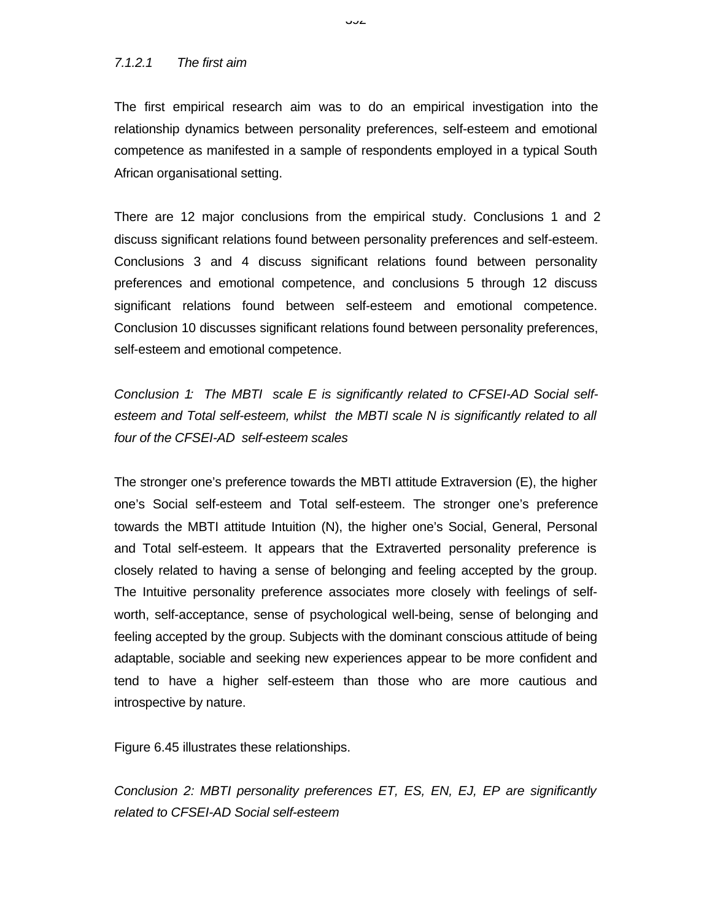#### *7.1.2.1 The first aim*

The first empirical research aim was to do an empirical investigation into the relationship dynamics between personality preferences, self-esteem and emotional competence as manifested in a sample of respondents employed in a typical South African organisational setting.

There are 12 major conclusions from the empirical study. Conclusions 1 and 2 discuss significant relations found between personality preferences and self-esteem. Conclusions 3 and 4 discuss significant relations found between personality preferences and emotional competence, and conclusions 5 through 12 discuss significant relations found between self-esteem and emotional competence. Conclusion 10 discusses significant relations found between personality preferences, self-esteem and emotional competence.

*Conclusion 1: The MBTI scale E is significantly related to CFSEI-AD Social selfesteem and Total self-esteem, whilst the MBTI scale N is significantly related to all four of the CFSEI-AD self-esteem scales*

The stronger one's preference towards the MBTI attitude Extraversion (E), the higher one's Social self-esteem and Total self-esteem. The stronger one's preference towards the MBTI attitude Intuition (N), the higher one's Social, General, Personal and Total self-esteem. It appears that the Extraverted personality preference is closely related to having a sense of belonging and feeling accepted by the group. The Intuitive personality preference associates more closely with feelings of selfworth, self-acceptance, sense of psychological well-being, sense of belonging and feeling accepted by the group. Subjects with the dominant conscious attitude of being adaptable, sociable and seeking new experiences appear to be more confident and tend to have a higher self-esteem than those who are more cautious and introspective by nature.

Figure 6.45 illustrates these relationships.

*Conclusion 2: MBTI personality preferences ET, ES, EN, EJ, EP are significantly related to CFSEI-AD Social self-esteem*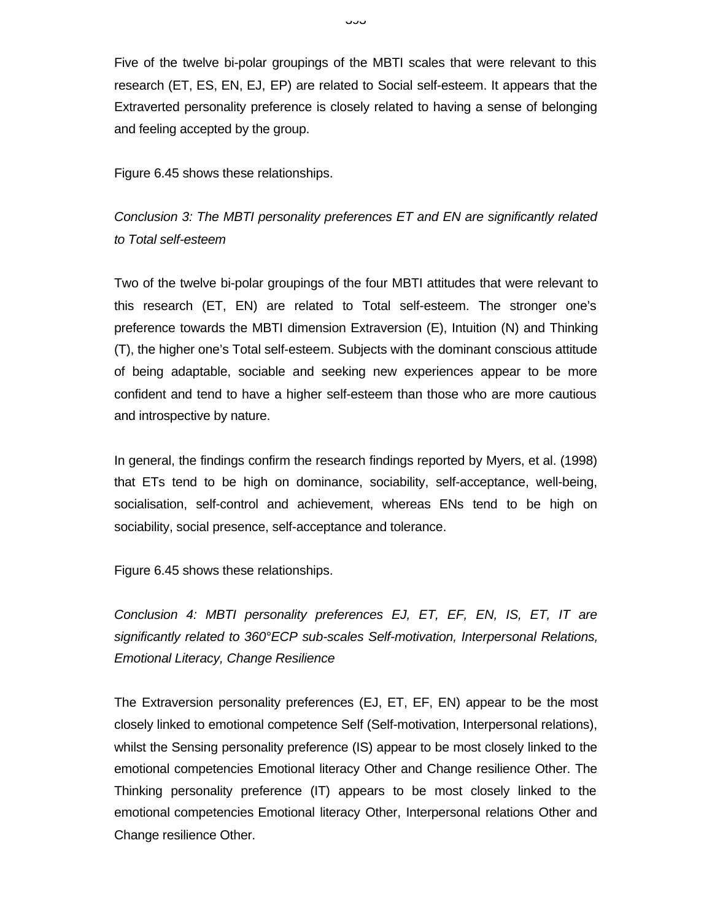Five of the twelve bi-polar groupings of the MBTI scales that were relevant to this research (ET, ES, EN, EJ, EP) are related to Social self-esteem. It appears that the Extraverted personality preference is closely related to having a sense of belonging and feeling accepted by the group.

Figure 6.45 shows these relationships.

*Conclusion 3: The MBTI personality preferences ET and EN are significantly related to Total self-esteem*

Two of the twelve bi-polar groupings of the four MBTI attitudes that were relevant to this research (ET, EN) are related to Total self-esteem. The stronger one's preference towards the MBTI dimension Extraversion (E), Intuition (N) and Thinking (T), the higher one's Total self-esteem. Subjects with the dominant conscious attitude of being adaptable, sociable and seeking new experiences appear to be more confident and tend to have a higher self-esteem than those who are more cautious and introspective by nature.

In general, the findings confirm the research findings reported by Myers, et al. (1998) that ETs tend to be high on dominance, sociability, self-acceptance, well-being, socialisation, self-control and achievement, whereas ENs tend to be high on sociability, social presence, self-acceptance and tolerance.

Figure 6.45 shows these relationships.

*Conclusion 4: MBTI personality preferences EJ, ET, EF, EN, IS, ET, IT are significantly related to 360°ECP sub-scales Self-motivation, Interpersonal Relations, Emotional Literacy, Change Resilience*

The Extraversion personality preferences (EJ, ET, EF, EN) appear to be the most closely linked to emotional competence Self (Self-motivation, Interpersonal relations), whilst the Sensing personality preference (IS) appear to be most closely linked to the emotional competencies Emotional literacy Other and Change resilience Other. The Thinking personality preference (IT) appears to be most closely linked to the emotional competencies Emotional literacy Other, Interpersonal relations Other and Change resilience Other.

نټ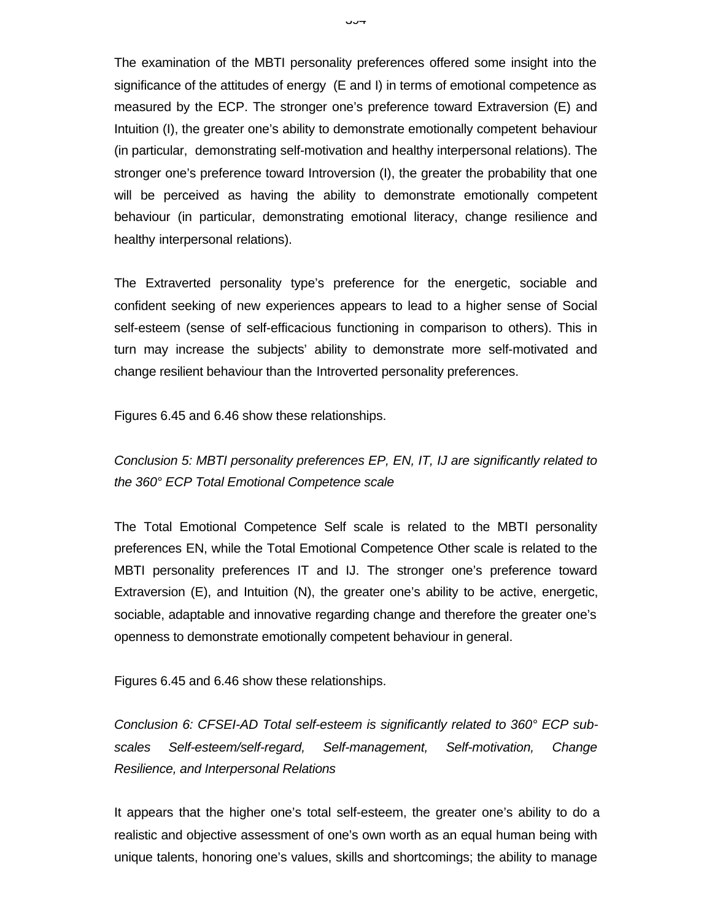The examination of the MBTI personality preferences offered some insight into the significance of the attitudes of energy (E and I) in terms of emotional competence as measured by the ECP. The stronger one's preference toward Extraversion (E) and Intuition (I), the greater one's ability to demonstrate emotionally competent behaviour (in particular, demonstrating self-motivation and healthy interpersonal relations). The stronger one's preference toward Introversion (I), the greater the probability that one will be perceived as having the ability to demonstrate emotionally competent behaviour (in particular, demonstrating emotional literacy, change resilience and healthy interpersonal relations).

The Extraverted personality type's preference for the energetic, sociable and confident seeking of new experiences appears to lead to a higher sense of Social self-esteem (sense of self-efficacious functioning in comparison to others). This in turn may increase the subjects' ability to demonstrate more self-motivated and change resilient behaviour than the Introverted personality preferences.

Figures 6.45 and 6.46 show these relationships.

*Conclusion 5: MBTI personality preferences EP, EN, IT, IJ are significantly related to the 360° ECP Total Emotional Competence scale*

The Total Emotional Competence Self scale is related to the MBTI personality preferences EN, while the Total Emotional Competence Other scale is related to the MBTI personality preferences IT and IJ. The stronger one's preference toward Extraversion (E), and Intuition (N), the greater one's ability to be active, energetic, sociable, adaptable and innovative regarding change and therefore the greater one's openness to demonstrate emotionally competent behaviour in general.

Figures 6.45 and 6.46 show these relationships.

*Conclusion 6: CFSEI-AD Total self-esteem is significantly related to 360° ECP subscales Self-esteem/self-regard, Self-management, Self-motivation, Change Resilience, and Interpersonal Relations*

It appears that the higher one's total self-esteem, the greater one's ability to do a realistic and objective assessment of one's own worth as an equal human being with unique talents, honoring one's values, skills and shortcomings; the ability to manage

٣ت∪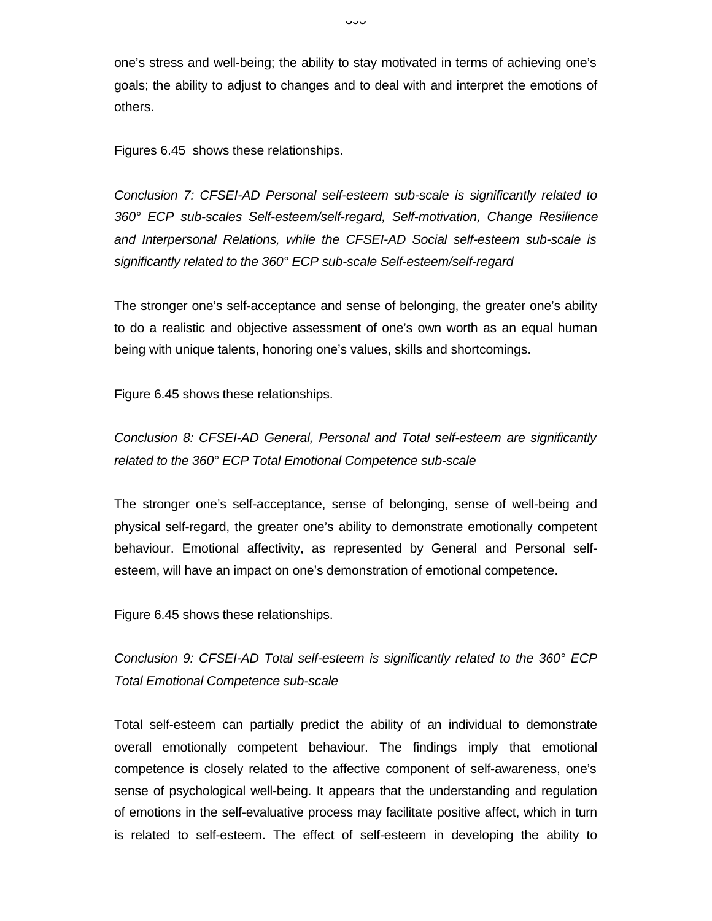one's stress and well-being; the ability to stay motivated in terms of achieving one's goals; the ability to adjust to changes and to deal with and interpret the emotions of others.

Figures 6.45 shows these relationships.

*Conclusion 7: CFSEI-AD Personal self-esteem sub-scale is significantly related to 360° ECP sub-scales Self-esteem/self-regard, Self-motivation, Change Resilience and Interpersonal Relations, while the CFSEI-AD Social self-esteem sub-scale is significantly related to the 360° ECP sub-scale Self-esteem/self-regard*

The stronger one's self-acceptance and sense of belonging, the greater one's ability to do a realistic and objective assessment of one's own worth as an equal human being with unique talents, honoring one's values, skills and shortcomings.

Figure 6.45 shows these relationships.

*Conclusion 8: CFSEI-AD General, Personal and Total self-esteem are significantly related to the 360° ECP Total Emotional Competence sub-scale*

The stronger one's self-acceptance, sense of belonging, sense of well-being and physical self-regard, the greater one's ability to demonstrate emotionally competent behaviour. Emotional affectivity, as represented by General and Personal selfesteem, will have an impact on one's demonstration of emotional competence.

Figure 6.45 shows these relationships.

*Conclusion 9: CFSEI-AD Total self-esteem is significantly related to the 360° ECP Total Emotional Competence sub-scale*

Total self-esteem can partially predict the ability of an individual to demonstrate overall emotionally competent behaviour. The findings imply that emotional competence is closely related to the affective component of self-awareness, one's sense of psychological well-being. It appears that the understanding and regulation of emotions in the self-evaluative process may facilitate positive affect, which in turn is related to self-esteem. The effect of self-esteem in developing the ability to

نټ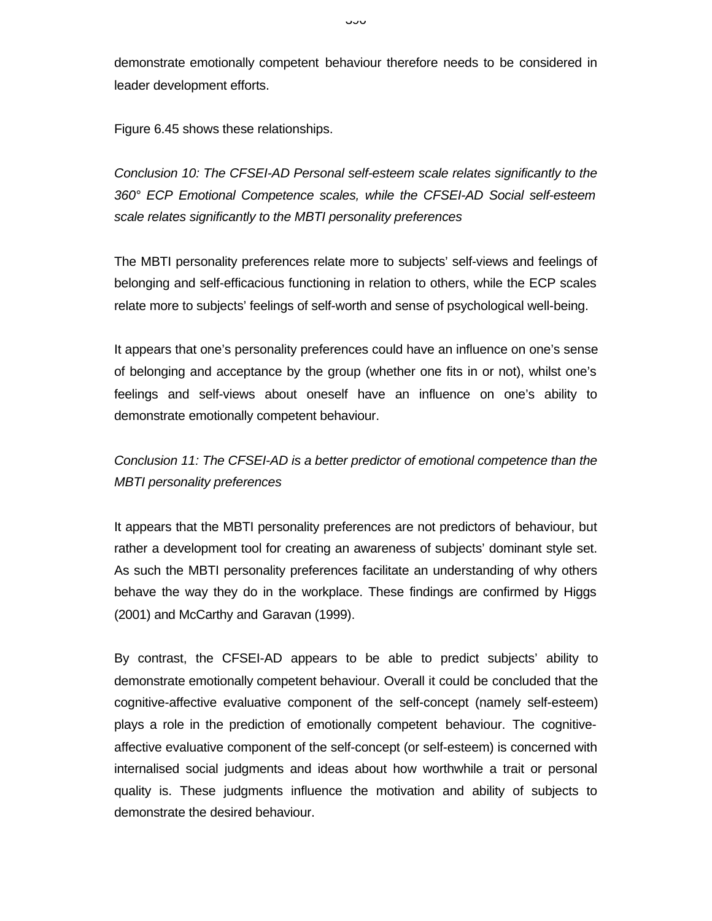demonstrate emotionally competent behaviour therefore needs to be considered in leader development efforts.

Figure 6.45 shows these relationships.

*Conclusion 10: The CFSEI-AD Personal self-esteem scale relates significantly to the 360° ECP Emotional Competence scales, while the CFSEI-AD Social self-esteem scale relates significantly to the MBTI personality preferences*

The MBTI personality preferences relate more to subjects' self-views and feelings of belonging and self-efficacious functioning in relation to others, while the ECP scales relate more to subjects' feelings of self-worth and sense of psychological well-being.

It appears that one's personality preferences could have an influence on one's sense of belonging and acceptance by the group (whether one fits in or not), whilst one's feelings and self-views about oneself have an influence on one's ability to demonstrate emotionally competent behaviour.

*Conclusion 11: The CFSEI-AD is a better predictor of emotional competence than the MBTI personality preferences*

It appears that the MBTI personality preferences are not predictors of behaviour, but rather a development tool for creating an awareness of subjects' dominant style set. As such the MBTI personality preferences facilitate an understanding of why others behave the way they do in the workplace. These findings are confirmed by Higgs (2001) and McCarthy and Garavan (1999).

By contrast, the CFSEI-AD appears to be able to predict subjects' ability to demonstrate emotionally competent behaviour. Overall it could be concluded that the cognitive-affective evaluative component of the self-concept (namely self-esteem) plays a role in the prediction of emotionally competent behaviour. The cognitiveaffective evaluative component of the self-concept (or self-esteem) is concerned with internalised social judgments and ideas about how worthwhile a trait or personal quality is. These judgments influence the motivation and ability of subjects to demonstrate the desired behaviour.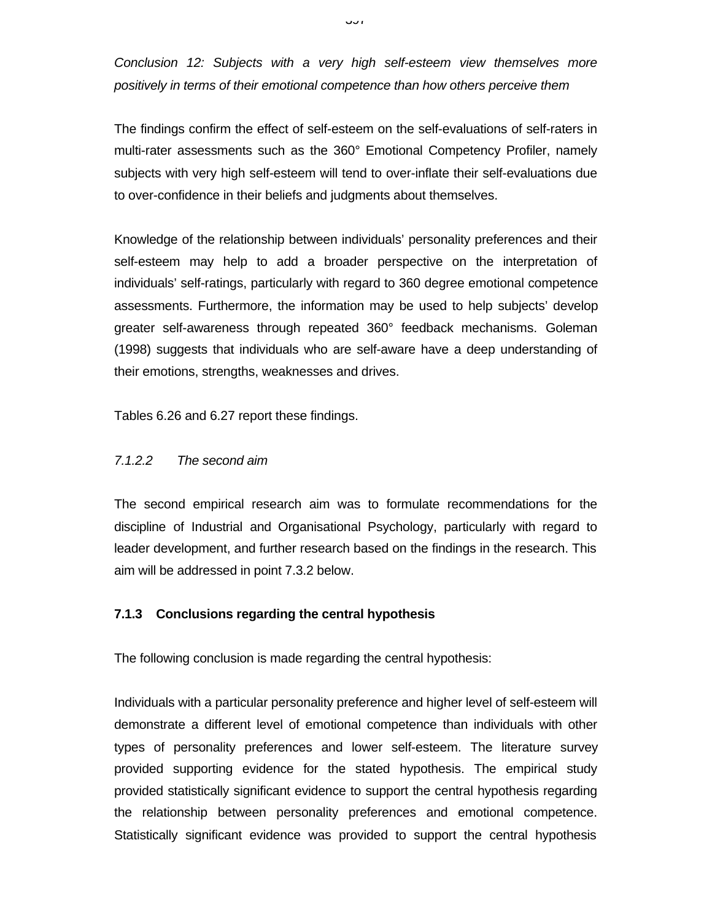*Conclusion 12: Subjects with a very high self-esteem view themselves more positively in terms of their emotional competence than how others perceive them*

The findings confirm the effect of self-esteem on the self-evaluations of self-raters in multi-rater assessments such as the 360° Emotional Competency Profiler, namely subjects with very high self-esteem will tend to over-inflate their self-evaluations due to over-confidence in their beliefs and judgments about themselves.

Knowledge of the relationship between individuals' personality preferences and their self-esteem may help to add a broader perspective on the interpretation of individuals' self-ratings, particularly with regard to 360 degree emotional competence assessments. Furthermore, the information may be used to help subjects' develop greater self-awareness through repeated 360° feedback mechanisms. Goleman (1998) suggests that individuals who are self-aware have a deep understanding of their emotions, strengths, weaknesses and drives.

Tables 6.26 and 6.27 report these findings.

### *7.1.2.2 The second aim*

The second empirical research aim was to formulate recommendations for the discipline of Industrial and Organisational Psychology, particularly with regard to leader development, and further research based on the findings in the research. This aim will be addressed in point 7.3.2 below.

### **7.1.3 Conclusions regarding the central hypothesis**

The following conclusion is made regarding the central hypothesis:

Individuals with a particular personality preference and higher level of self-esteem will demonstrate a different level of emotional competence than individuals with other types of personality preferences and lower self-esteem. The literature survey provided supporting evidence for the stated hypothesis. The empirical study provided statistically significant evidence to support the central hypothesis regarding the relationship between personality preferences and emotional competence. Statistically significant evidence was provided to support the central hypothesis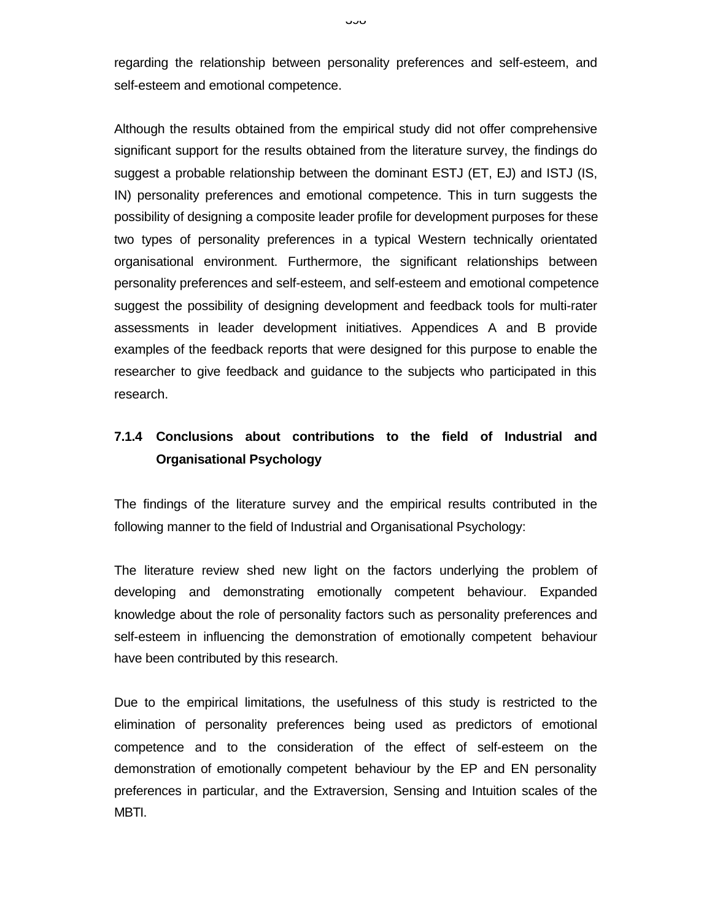regarding the relationship between personality preferences and self-esteem, and self-esteem and emotional competence.

Although the results obtained from the empirical study did not offer comprehensive significant support for the results obtained from the literature survey, the findings do suggest a probable relationship between the dominant ESTJ (ET, EJ) and ISTJ (IS, IN) personality preferences and emotional competence. This in turn suggests the possibility of designing a composite leader profile for development purposes for these two types of personality preferences in a typical Western technically orientated organisational environment. Furthermore, the significant relationships between personality preferences and self-esteem, and self-esteem and emotional competence suggest the possibility of designing development and feedback tools for multi-rater assessments in leader development initiatives. Appendices A and B provide examples of the feedback reports that were designed for this purpose to enable the researcher to give feedback and guidance to the subjects who participated in this research.

# **7.1.4 Conclusions about contributions to the field of Industrial and Organisational Psychology**

The findings of the literature survey and the empirical results contributed in the following manner to the field of Industrial and Organisational Psychology:

The literature review shed new light on the factors underlying the problem of developing and demonstrating emotionally competent behaviour. Expanded knowledge about the role of personality factors such as personality preferences and self-esteem in influencing the demonstration of emotionally competent behaviour have been contributed by this research.

Due to the empirical limitations, the usefulness of this study is restricted to the elimination of personality preferences being used as predictors of emotional competence and to the consideration of the effect of self-esteem on the demonstration of emotionally competent behaviour by the EP and EN personality preferences in particular, and the Extraversion, Sensing and Intuition scales of the MBTI.

ن ت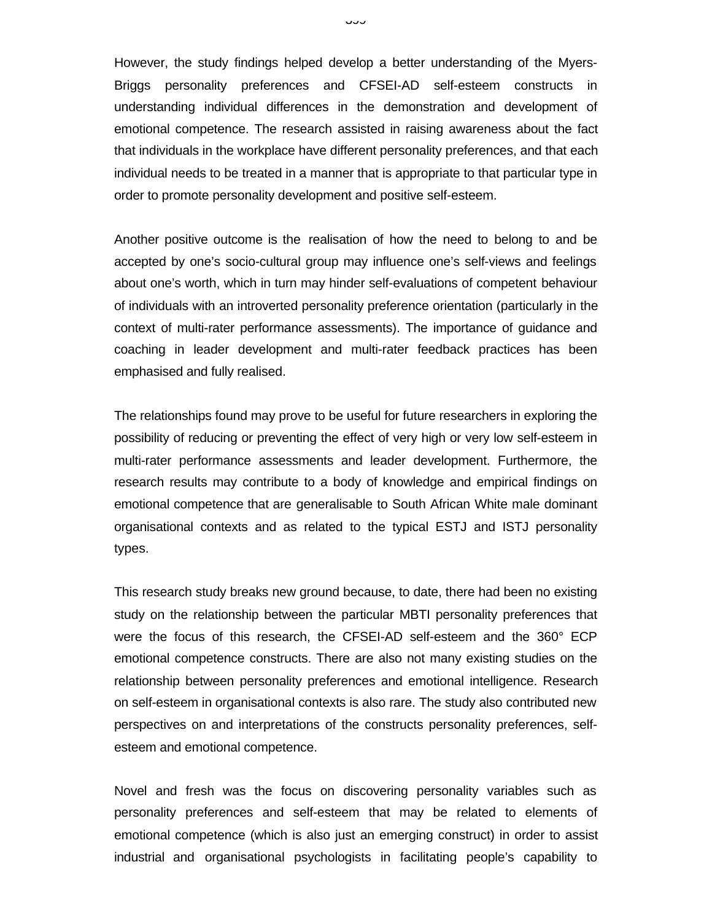However, the study findings helped develop a better understanding of the Myers-Briggs personality preferences and CFSEI-AD self-esteem constructs in understanding individual differences in the demonstration and development of emotional competence. The research assisted in raising awareness about the fact that individuals in the workplace have different personality preferences, and that each individual needs to be treated in a manner that is appropriate to that particular type in order to promote personality development and positive self-esteem.

Another positive outcome is the realisation of how the need to belong to and be accepted by one's socio-cultural group may influence one's self-views and feelings about one's worth, which in turn may hinder self-evaluations of competent behaviour of individuals with an introverted personality preference orientation (particularly in the context of multi-rater performance assessments). The importance of guidance and coaching in leader development and multi-rater feedback practices has been emphasised and fully realised.

The relationships found may prove to be useful for future researchers in exploring the possibility of reducing or preventing the effect of very high or very low self-esteem in multi-rater performance assessments and leader development. Furthermore, the research results may contribute to a body of knowledge and empirical findings on emotional competence that are generalisable to South African White male dominant organisational contexts and as related to the typical ESTJ and ISTJ personality types.

This research study breaks new ground because, to date, there had been no existing study on the relationship between the particular MBTI personality preferences that were the focus of this research, the CFSEI-AD self-esteem and the 360° ECP emotional competence constructs. There are also not many existing studies on the relationship between personality preferences and emotional intelligence. Research on self-esteem in organisational contexts is also rare. The study also contributed new perspectives on and interpretations of the constructs personality preferences, selfesteem and emotional competence.

Novel and fresh was the focus on discovering personality variables such as personality preferences and self-esteem that may be related to elements of emotional competence (which is also just an emerging construct) in order to assist industrial and organisational psychologists in facilitating people's capability to

ن ت ب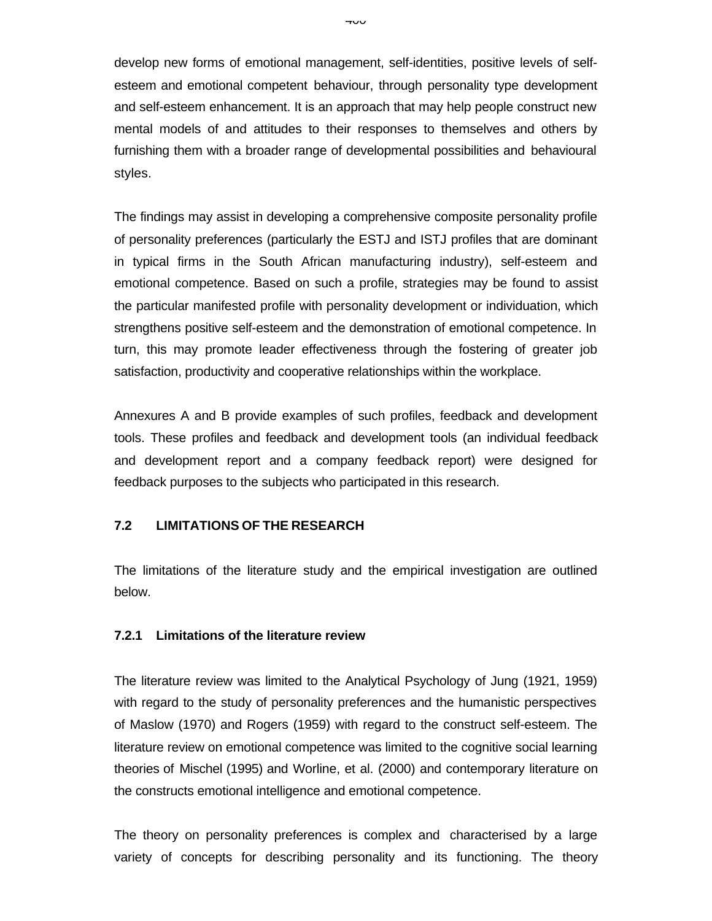develop new forms of emotional management, self-identities, positive levels of selfesteem and emotional competent behaviour, through personality type development and self-esteem enhancement. It is an approach that may help people construct new mental models of and attitudes to their responses to themselves and others by furnishing them with a broader range of developmental possibilities and behavioural styles.

The findings may assist in developing a comprehensive composite personality profile of personality preferences (particularly the ESTJ and ISTJ profiles that are dominant in typical firms in the South African manufacturing industry), self-esteem and emotional competence. Based on such a profile, strategies may be found to assist the particular manifested profile with personality development or individuation, which strengthens positive self-esteem and the demonstration of emotional competence. In turn, this may promote leader effectiveness through the fostering of greater job satisfaction, productivity and cooperative relationships within the workplace.

Annexures A and B provide examples of such profiles, feedback and development tools. These profiles and feedback and development tools (an individual feedback and development report and a company feedback report) were designed for feedback purposes to the subjects who participated in this research.

#### **7.2 LIMITATIONS OF THE RESEARCH**

The limitations of the literature study and the empirical investigation are outlined below.

#### **7.2.1 Limitations of the literature review**

The literature review was limited to the Analytical Psychology of Jung (1921, 1959) with regard to the study of personality preferences and the humanistic perspectives of Maslow (1970) and Rogers (1959) with regard to the construct self-esteem. The literature review on emotional competence was limited to the cognitive social learning theories of Mischel (1995) and Worline, et al. (2000) and contemporary literature on the constructs emotional intelligence and emotional competence.

The theory on personality preferences is complex and characterised by a large variety of concepts for describing personality and its functioning. The theory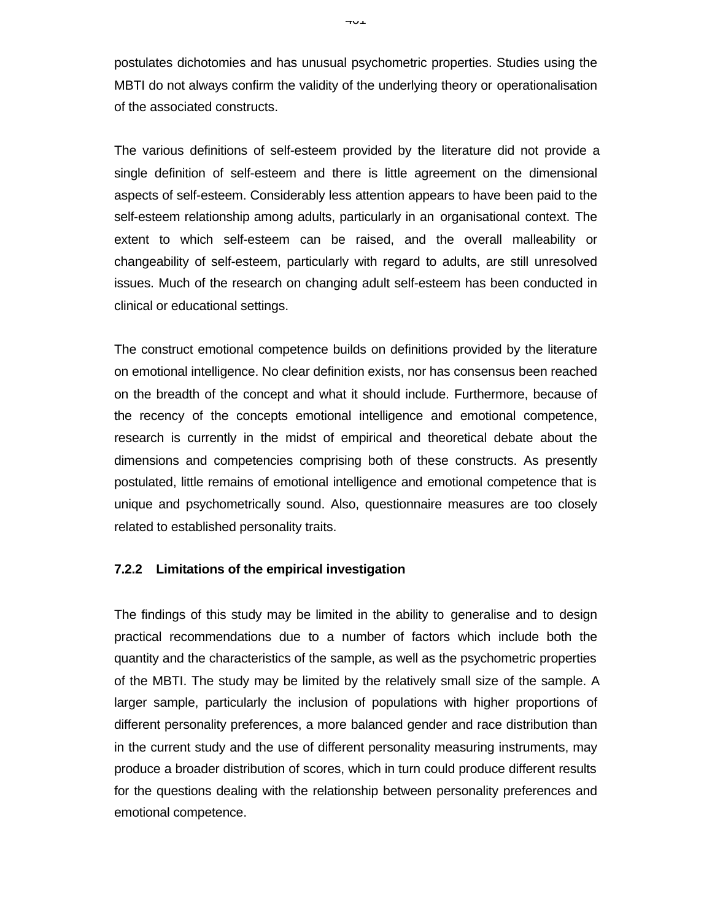postulates dichotomies and has unusual psychometric properties. Studies using the MBTI do not always confirm the validity of the underlying theory or operationalisation of the associated constructs.

The various definitions of self-esteem provided by the literature did not provide a single definition of self-esteem and there is little agreement on the dimensional aspects of self-esteem. Considerably less attention appears to have been paid to the self-esteem relationship among adults, particularly in an organisational context. The extent to which self-esteem can be raised, and the overall malleability or changeability of self-esteem, particularly with regard to adults, are still unresolved issues. Much of the research on changing adult self-esteem has been conducted in clinical or educational settings.

The construct emotional competence builds on definitions provided by the literature on emotional intelligence. No clear definition exists, nor has consensus been reached on the breadth of the concept and what it should include. Furthermore, because of the recency of the concepts emotional intelligence and emotional competence, research is currently in the midst of empirical and theoretical debate about the dimensions and competencies comprising both of these constructs. As presently postulated, little remains of emotional intelligence and emotional competence that is unique and psychometrically sound. Also, questionnaire measures are too closely related to established personality traits.

#### **7.2.2 Limitations of the empirical investigation**

The findings of this study may be limited in the ability to generalise and to design practical recommendations due to a number of factors which include both the quantity and the characteristics of the sample, as well as the psychometric properties of the MBTI. The study may be limited by the relatively small size of the sample. A larger sample, particularly the inclusion of populations with higher proportions of different personality preferences, a more balanced gender and race distribution than in the current study and the use of different personality measuring instruments, may produce a broader distribution of scores, which in turn could produce different results for the questions dealing with the relationship between personality preferences and emotional competence.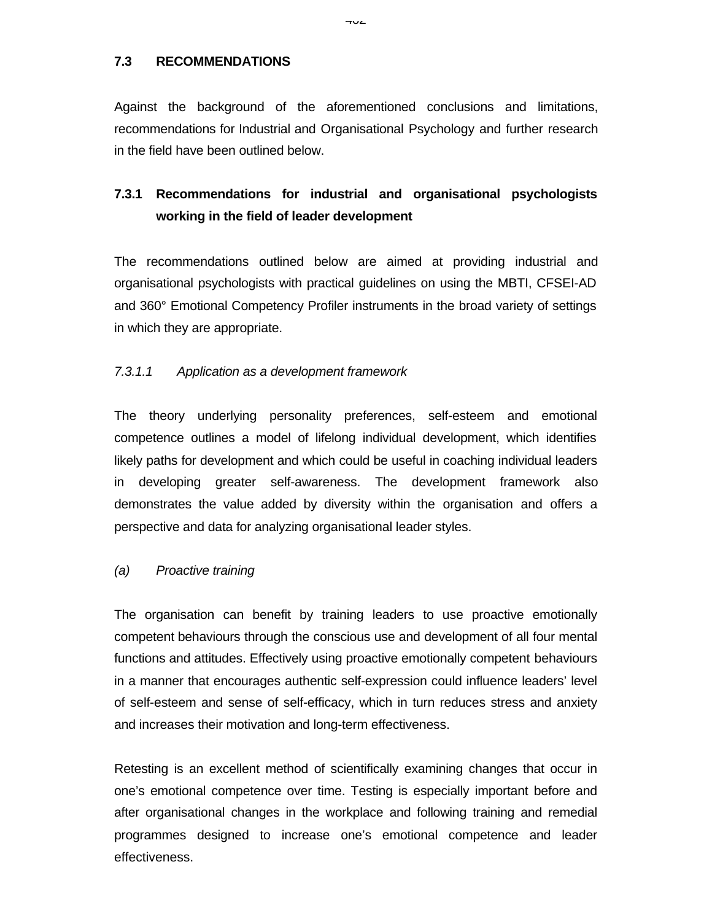**7.3 RECOMMENDATIONS**

Against the background of the aforementioned conclusions and limitations, recommendations for Industrial and Organisational Psychology and further research in the field have been outlined below.

# **7.3.1 Recommendations for industrial and organisational psychologists working in the field of leader development**

The recommendations outlined below are aimed at providing industrial and organisational psychologists with practical guidelines on using the MBTI, CFSEI-AD and 360° Emotional Competency Profiler instruments in the broad variety of settings in which they are appropriate.

#### *7.3.1.1 Application as a development framework*

The theory underlying personality preferences, self-esteem and emotional competence outlines a model of lifelong individual development, which identifies likely paths for development and which could be useful in coaching individual leaders in developing greater self-awareness. The development framework also demonstrates the value added by diversity within the organisation and offers a perspective and data for analyzing organisational leader styles.

#### *(a) Proactive training*

The organisation can benefit by training leaders to use proactive emotionally competent behaviours through the conscious use and development of all four mental functions and attitudes. Effectively using proactive emotionally competent behaviours in a manner that encourages authentic self-expression could influence leaders' level of self-esteem and sense of self-efficacy, which in turn reduces stress and anxiety and increases their motivation and long-term effectiveness.

Retesting is an excellent method of scientifically examining changes that occur in one's emotional competence over time. Testing is especially important before and after organisational changes in the workplace and following training and remedial programmes designed to increase one's emotional competence and leader effectiveness.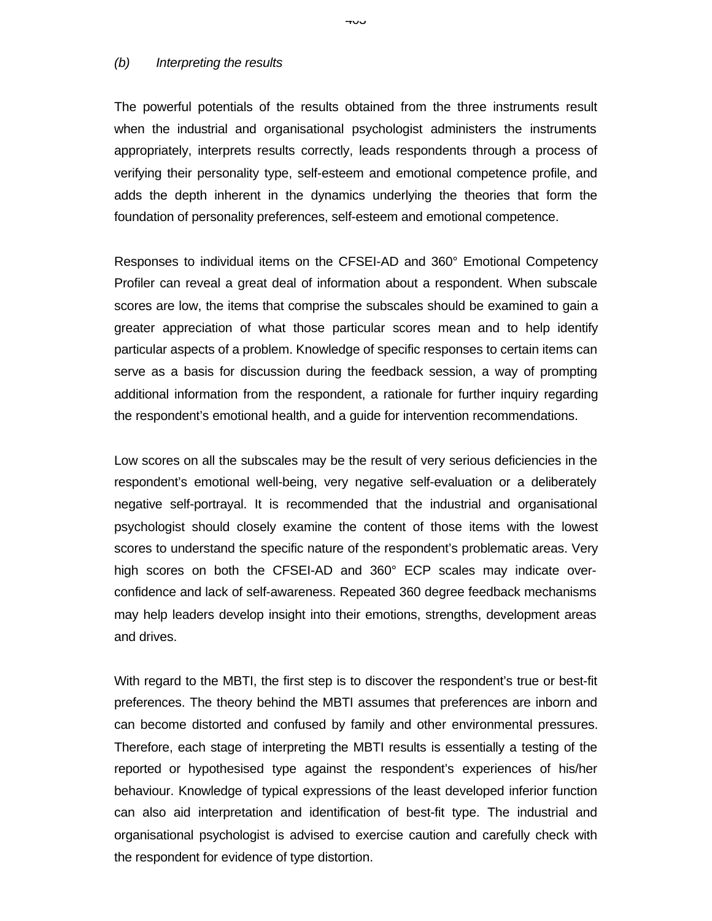#### *(b) Interpreting the results*

The powerful potentials of the results obtained from the three instruments result when the industrial and organisational psychologist administers the instruments appropriately, interprets results correctly, leads respondents through a process of verifying their personality type, self-esteem and emotional competence profile, and adds the depth inherent in the dynamics underlying the theories that form the foundation of personality preferences, self-esteem and emotional competence.

Responses to individual items on the CFSEI-AD and 360° Emotional Competency Profiler can reveal a great deal of information about a respondent. When subscale scores are low, the items that comprise the subscales should be examined to gain a greater appreciation of what those particular scores mean and to help identify particular aspects of a problem. Knowledge of specific responses to certain items can serve as a basis for discussion during the feedback session, a way of prompting additional information from the respondent, a rationale for further inquiry regarding the respondent's emotional health, and a guide for intervention recommendations.

Low scores on all the subscales may be the result of very serious deficiencies in the respondent's emotional well-being, very negative self-evaluation or a deliberately negative self-portrayal. It is recommended that the industrial and organisational psychologist should closely examine the content of those items with the lowest scores to understand the specific nature of the respondent's problematic areas. Very high scores on both the CFSEI-AD and 360° ECP scales may indicate overconfidence and lack of self-awareness. Repeated 360 degree feedback mechanisms may help leaders develop insight into their emotions, strengths, development areas and drives.

With regard to the MBTI, the first step is to discover the respondent's true or best-fit preferences. The theory behind the MBTI assumes that preferences are inborn and can become distorted and confused by family and other environmental pressures. Therefore, each stage of interpreting the MBTI results is essentially a testing of the reported or hypothesised type against the respondent's experiences of his/her behaviour. Knowledge of typical expressions of the least developed inferior function can also aid interpretation and identification of best-fit type. The industrial and organisational psychologist is advised to exercise caution and carefully check with the respondent for evidence of type distortion.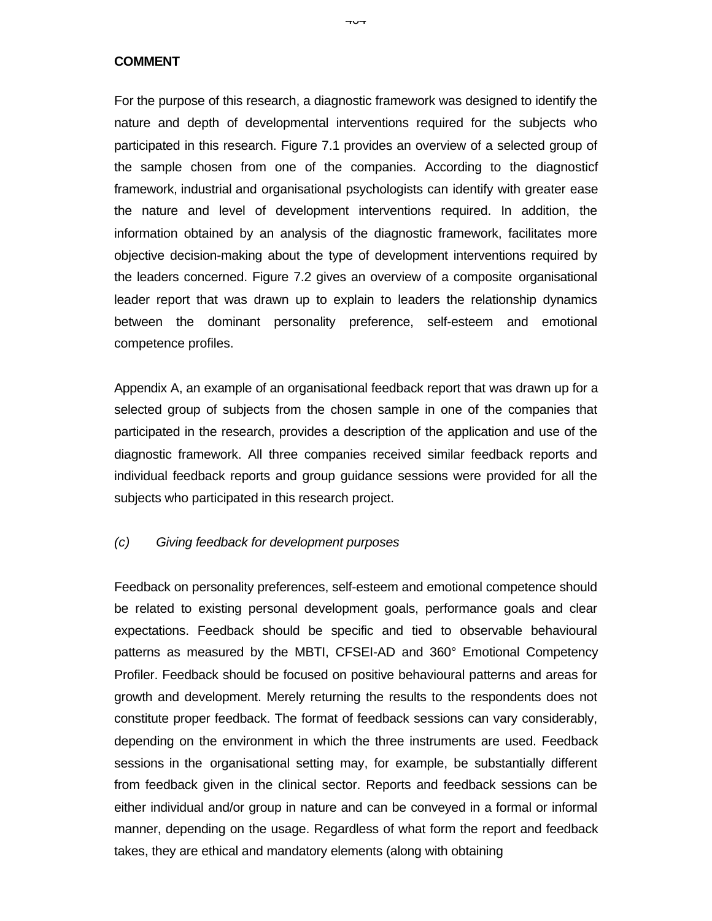**COMMENT**

For the purpose of this research, a diagnostic framework was designed to identify the nature and depth of developmental interventions required for the subjects who participated in this research. Figure 7.1 provides an overview of a selected group of the sample chosen from one of the companies. According to the diagnosticf framework, industrial and organisational psychologists can identify with greater ease the nature and level of development interventions required. In addition, the information obtained by an analysis of the diagnostic framework, facilitates more objective decision-making about the type of development interventions required by the leaders concerned. Figure 7.2 gives an overview of a composite organisational leader report that was drawn up to explain to leaders the relationship dynamics between the dominant personality preference, self-esteem and emotional competence profiles.

Appendix A, an example of an organisational feedback report that was drawn up for a selected group of subjects from the chosen sample in one of the companies that participated in the research, provides a description of the application and use of the diagnostic framework. All three companies received similar feedback reports and individual feedback reports and group guidance sessions were provided for all the subjects who participated in this research project.

#### *(c) Giving feedback for development purposes*

Feedback on personality preferences, self-esteem and emotional competence should be related to existing personal development goals, performance goals and clear expectations. Feedback should be specific and tied to observable behavioural patterns as measured by the MBTI, CFSEI-AD and 360° Emotional Competency Profiler. Feedback should be focused on positive behavioural patterns and areas for growth and development. Merely returning the results to the respondents does not constitute proper feedback. The format of feedback sessions can vary considerably, depending on the environment in which the three instruments are used. Feedback sessions in the organisational setting may, for example, be substantially different from feedback given in the clinical sector. Reports and feedback sessions can be either individual and/or group in nature and can be conveyed in a formal or informal manner, depending on the usage. Regardless of what form the report and feedback takes, they are ethical and mandatory elements (along with obtaining

דּש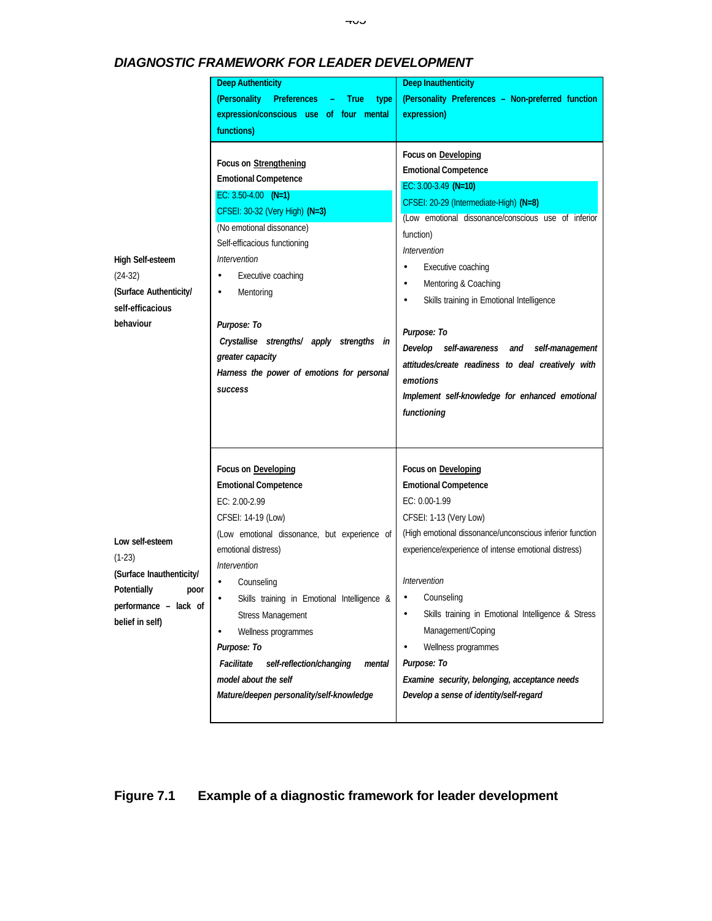|                                                                                                                            | <b>Deep Authenticity</b>                                                                                                                                                                                                                                                                                                                                                                                                                             | <b>Deep Inauthenticity</b>                                                                                                                                                                                                                                                                                                                                                                                                                                                     |
|----------------------------------------------------------------------------------------------------------------------------|------------------------------------------------------------------------------------------------------------------------------------------------------------------------------------------------------------------------------------------------------------------------------------------------------------------------------------------------------------------------------------------------------------------------------------------------------|--------------------------------------------------------------------------------------------------------------------------------------------------------------------------------------------------------------------------------------------------------------------------------------------------------------------------------------------------------------------------------------------------------------------------------------------------------------------------------|
|                                                                                                                            | (Personality Preferences<br><b>True</b><br>type                                                                                                                                                                                                                                                                                                                                                                                                      | (Personality Preferences - Non-preferred function                                                                                                                                                                                                                                                                                                                                                                                                                              |
|                                                                                                                            | expression/conscious use of four mental                                                                                                                                                                                                                                                                                                                                                                                                              | expression)                                                                                                                                                                                                                                                                                                                                                                                                                                                                    |
|                                                                                                                            | functions)                                                                                                                                                                                                                                                                                                                                                                                                                                           |                                                                                                                                                                                                                                                                                                                                                                                                                                                                                |
|                                                                                                                            | Focus on Strengthening                                                                                                                                                                                                                                                                                                                                                                                                                               | Focus on Developing                                                                                                                                                                                                                                                                                                                                                                                                                                                            |
|                                                                                                                            | <b>Emotional Competence</b>                                                                                                                                                                                                                                                                                                                                                                                                                          | <b>Emotional Competence</b>                                                                                                                                                                                                                                                                                                                                                                                                                                                    |
| High Self-esteem<br>$(24-32)$<br>(Surface Authenticity/<br>self-efficacious<br>behaviour                                   | EC: $3.50 - 4.00$ (N=1)<br>CFSEI: 30-32 (Very High) (N=3)<br>(No emotional dissonance)<br>Self-efficacious functioning<br>Intervention<br>Executive coaching<br>$\bullet$<br>Mentoring<br>٠<br>Purpose: To<br>Crystallise strengths/ apply strengths in<br>greater capacity<br>Harness the power of emotions for personal<br><b>success</b>                                                                                                          | EC: 3.00-3.49 (N=10)<br>CFSEI: 20-29 (Intermediate-High) (N=8)<br>(Low emotional dissonance/conscious use of inferior<br>function)<br>Intervention<br>Executive coaching<br>Mentoring & Coaching<br>٠<br>Skills training in Emotional Intelligence<br>$\bullet$<br>Purpose: To<br>Develop self-awareness and self-management<br>attitudes/create readiness to deal creatively with<br>emotions<br>Implement self-knowledge for enhanced emotional<br>functioning               |
| Low self-esteem<br>$(1-23)$<br>(Surface Inauthenticity/<br>Potentially<br>poor<br>performance - lack of<br>belief in self) | Focus on Developing<br><b>Emotional Competence</b><br>EC: 2.00-2.99<br>CFSEI: 14-19 (Low)<br>(Low emotional dissonance, but experience of<br>emotional distress)<br>Intervention<br>Counseling<br>Skills training in Emotional Intelligence &<br><b>Stress Management</b><br>Wellness programmes<br>$\bullet$<br>Purpose: To<br>Facilitate<br>self-reflection/changing<br>mental<br>model about the self<br>Mature/deepen personality/self-knowledge | Focus on Developing<br><b>Emotional Competence</b><br>EC: 0.00-1.99<br>CFSEI: 1-13 (Very Low)<br>(High emotional dissonance/unconscious inferior function<br>experience/experience of intense emotional distress)<br>Intervention<br>Counseling<br>Skills training in Emotional Intelligence & Stress<br>٠<br>Management/Coping<br>Wellness programmes<br>$\bullet$<br>Purpose: To<br>Examine security, belonging, acceptance needs<br>Develop a sense of identity/self-regard |

# *DIAGNOSTIC FRAMEWORK FOR LEADER DEVELOPMENT*

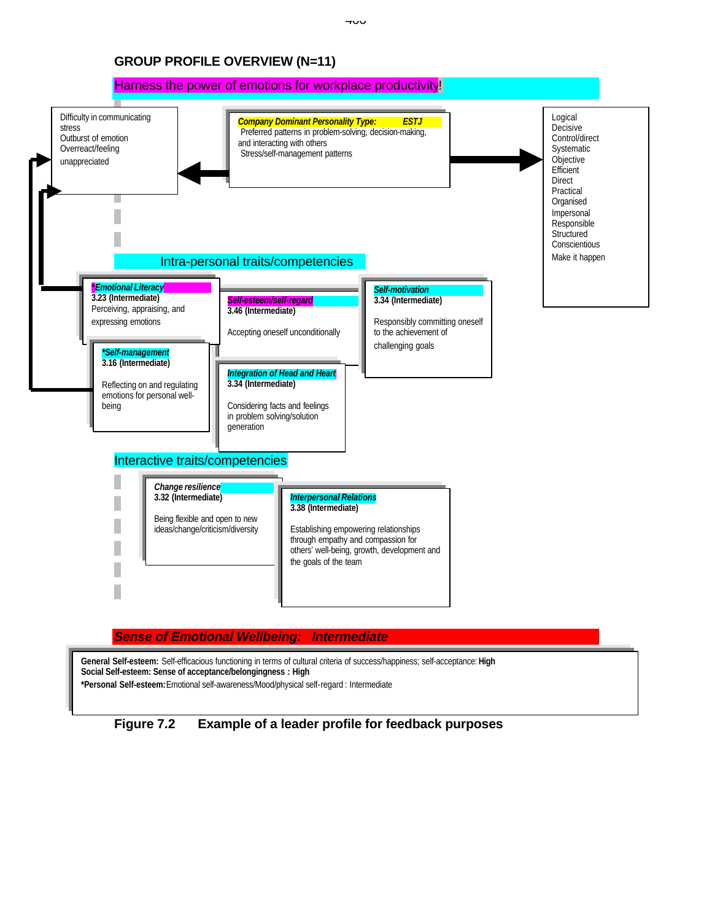### **GROUP PROFILE OVERVIEW (N=11)**



#### *Sense of Emotional Wellbeing: Intermediate*

**General Self-esteem:** Self-efficacious functioning in terms of cultural criteria of success/happiness; self-acceptance: **High Social Self-esteem: Sense of acceptance/belongingness : High \*Personal Self-esteem:** Emotional self-awareness/Mood/physical self-regard : Intermediate

# **Figure 7.2 Example of a leader profile for feedback purposes**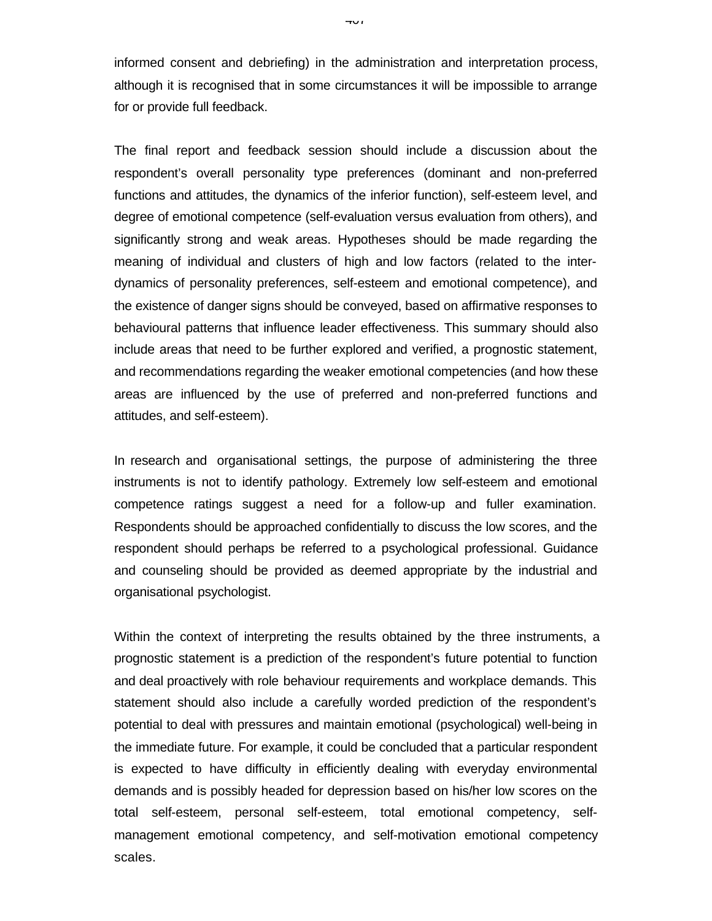informed consent and debriefing) in the administration and interpretation process, although it is recognised that in some circumstances it will be impossible to arrange for or provide full feedback.

The final report and feedback session should include a discussion about the respondent's overall personality type preferences (dominant and non-preferred functions and attitudes, the dynamics of the inferior function), self-esteem level, and degree of emotional competence (self-evaluation versus evaluation from others), and significantly strong and weak areas. Hypotheses should be made regarding the meaning of individual and clusters of high and low factors (related to the interdynamics of personality preferences, self-esteem and emotional competence), and the existence of danger signs should be conveyed, based on affirmative responses to behavioural patterns that influence leader effectiveness. This summary should also include areas that need to be further explored and verified, a prognostic statement, and recommendations regarding the weaker emotional competencies (and how these areas are influenced by the use of preferred and non-preferred functions and attitudes, and self-esteem).

In research and organisational settings, the purpose of administering the three instruments is not to identify pathology. Extremely low self-esteem and emotional competence ratings suggest a need for a follow-up and fuller examination. Respondents should be approached confidentially to discuss the low scores, and the respondent should perhaps be referred to a psychological professional. Guidance and counseling should be provided as deemed appropriate by the industrial and organisational psychologist.

Within the context of interpreting the results obtained by the three instruments, a prognostic statement is a prediction of the respondent's future potential to function and deal proactively with role behaviour requirements and workplace demands. This statement should also include a carefully worded prediction of the respondent's potential to deal with pressures and maintain emotional (psychological) well-being in the immediate future. For example, it could be concluded that a particular respondent is expected to have difficulty in efficiently dealing with everyday environmental demands and is possibly headed for depression based on his/her low scores on the total self-esteem, personal self-esteem, total emotional competency, selfmanagement emotional competency, and self-motivation emotional competency scales.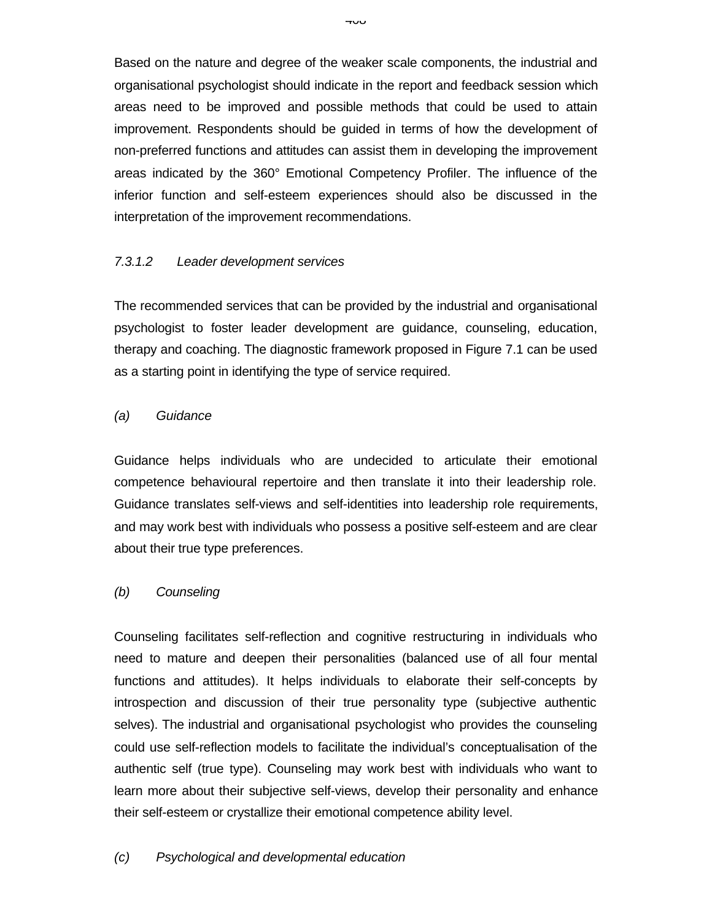Based on the nature and degree of the weaker scale components, the industrial and organisational psychologist should indicate in the report and feedback session which areas need to be improved and possible methods that could be used to attain improvement. Respondents should be guided in terms of how the development of non-preferred functions and attitudes can assist them in developing the improvement areas indicated by the 360° Emotional Competency Profiler. The influence of the inferior function and self-esteem experiences should also be discussed in the interpretation of the improvement recommendations.

## *7.3.1.2 Leader development services*

The recommended services that can be provided by the industrial and organisational psychologist to foster leader development are guidance, counseling, education, therapy and coaching. The diagnostic framework proposed in Figure 7.1 can be used as a starting point in identifying the type of service required.

### *(a) Guidance*

Guidance helps individuals who are undecided to articulate their emotional competence behavioural repertoire and then translate it into their leadership role. Guidance translates self-views and self-identities into leadership role requirements, and may work best with individuals who possess a positive self-esteem and are clear about their true type preferences.

#### *(b) Counseling*

Counseling facilitates self-reflection and cognitive restructuring in individuals who need to mature and deepen their personalities (balanced use of all four mental functions and attitudes). It helps individuals to elaborate their self-concepts by introspection and discussion of their true personality type (subjective authentic selves). The industrial and organisational psychologist who provides the counseling could use self-reflection models to facilitate the individual's conceptualisation of the authentic self (true type). Counseling may work best with individuals who want to learn more about their subjective self-views, develop their personality and enhance their self-esteem or crystallize their emotional competence ability level.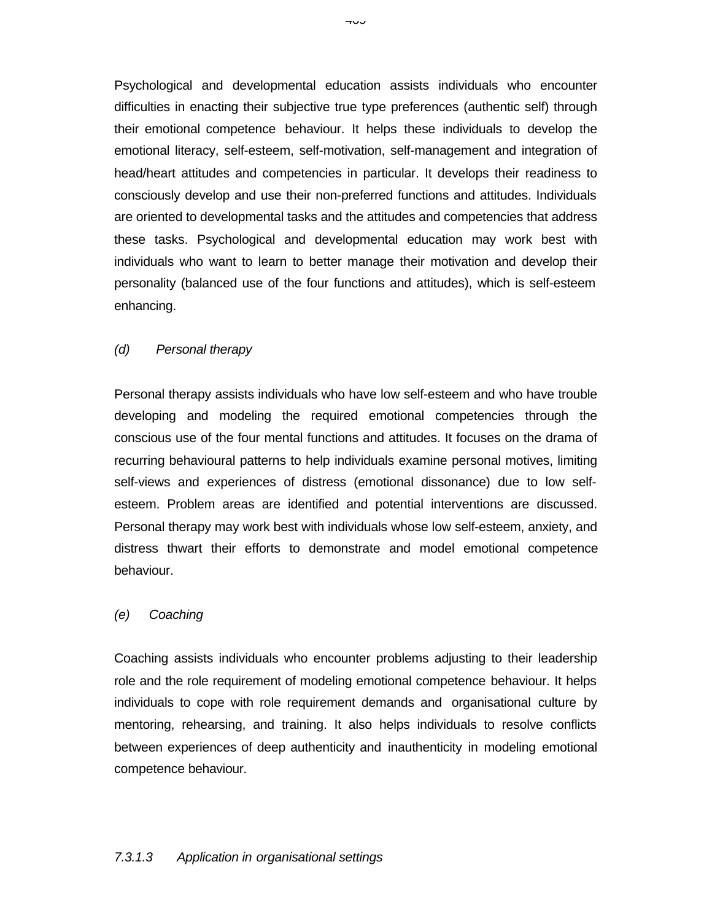Psychological and developmental education assists individuals who encounter difficulties in enacting their subjective true type preferences (authentic self) through their emotional competence behaviour. It helps these individuals to develop the emotional literacy, self-esteem, self-motivation, self-management and integration of head/heart attitudes and competencies in particular. It develops their readiness to consciously develop and use their non-preferred functions and attitudes. Individuals are oriented to developmental tasks and the attitudes and competencies that address these tasks. Psychological and developmental education may work best with individuals who want to learn to better manage their motivation and develop their personality (balanced use of the four functions and attitudes), which is self-esteem enhancing.

### *(d) Personal therapy*

Personal therapy assists individuals who have low self-esteem and who have trouble developing and modeling the required emotional competencies through the conscious use of the four mental functions and attitudes. It focuses on the drama of recurring behavioural patterns to help individuals examine personal motives, limiting self-views and experiences of distress (emotional dissonance) due to low selfesteem. Problem areas are identified and potential interventions are discussed. Personal therapy may work best with individuals whose low self-esteem, anxiety, and distress thwart their efforts to demonstrate and model emotional competence behaviour.

#### *(e) Coaching*

Coaching assists individuals who encounter problems adjusting to their leadership role and the role requirement of modeling emotional competence behaviour. It helps individuals to cope with role requirement demands and organisational culture by mentoring, rehearsing, and training. It also helps individuals to resolve conflicts between experiences of deep authenticity and inauthenticity in modeling emotional competence behaviour.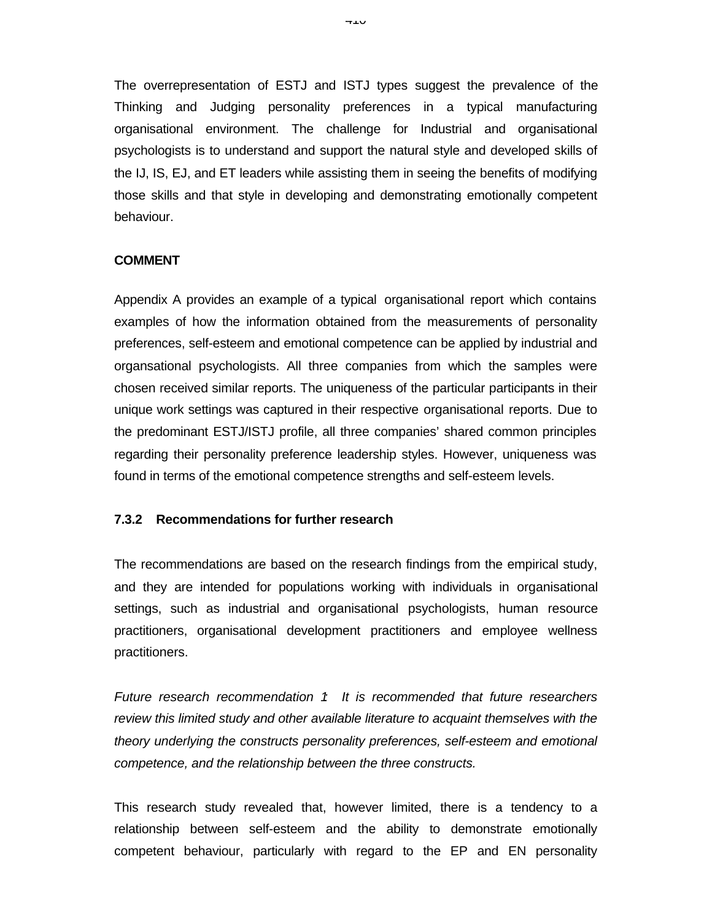The overrepresentation of ESTJ and ISTJ types suggest the prevalence of the Thinking and Judging personality preferences in a typical manufacturing organisational environment. The challenge for Industrial and organisational psychologists is to understand and support the natural style and developed skills of the IJ, IS, EJ, and ET leaders while assisting them in seeing the benefits of modifying those skills and that style in developing and demonstrating emotionally competent behaviour.

#### **COMMENT**

Appendix A provides an example of a typical organisational report which contains examples of how the information obtained from the measurements of personality preferences, self-esteem and emotional competence can be applied by industrial and organsational psychologists. All three companies from which the samples were chosen received similar reports. The uniqueness of the particular participants in their unique work settings was captured in their respective organisational reports. Due to the predominant ESTJ/ISTJ profile, all three companies' shared common principles regarding their personality preference leadership styles. However, uniqueness was found in terms of the emotional competence strengths and self-esteem levels.

#### **7.3.2 Recommendations for further research**

The recommendations are based on the research findings from the empirical study, and they are intended for populations working with individuals in organisational settings, such as industrial and organisational psychologists, human resource practitioners, organisational development practitioners and employee wellness practitioners.

*Future research recommendation 1: It is recommended that future researchers review this limited study and other available literature to acquaint themselves with the theory underlying the constructs personality preferences, self-esteem and emotional competence, and the relationship between the three constructs.*

This research study revealed that, however limited, there is a tendency to a relationship between self-esteem and the ability to demonstrate emotionally competent behaviour, particularly with regard to the EP and EN personality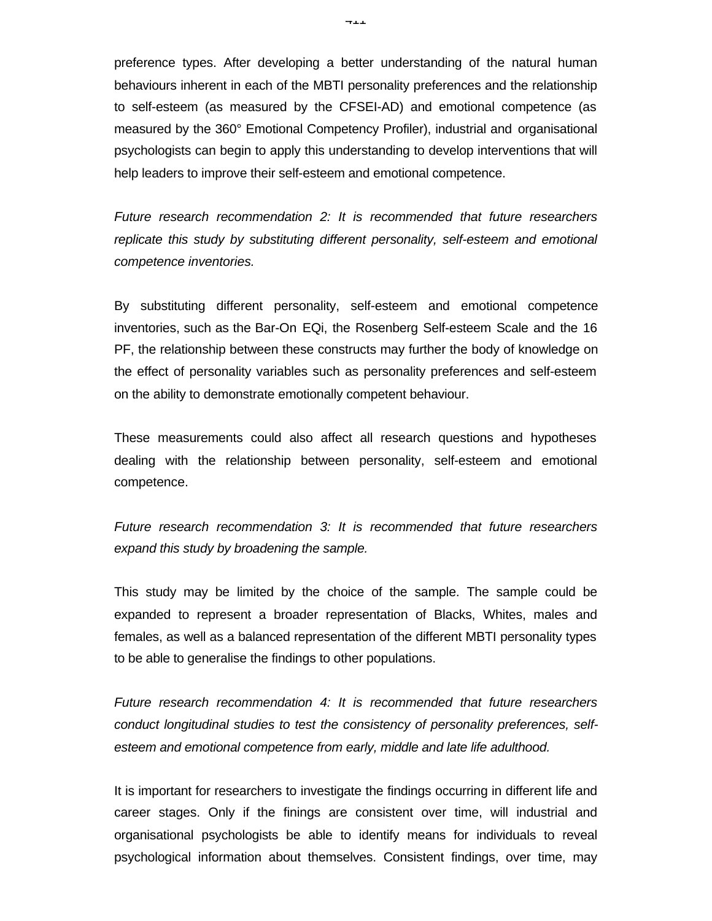preference types. After developing a better understanding of the natural human behaviours inherent in each of the MBTI personality preferences and the relationship to self-esteem (as measured by the CFSEI-AD) and emotional competence (as measured by the 360° Emotional Competency Profiler), industrial and organisational psychologists can begin to apply this understanding to develop interventions that will help leaders to improve their self-esteem and emotional competence.

*Future research recommendation 2: It is recommended that future researchers replicate this study by substituting different personality, self-esteem and emotional competence inventories.*

By substituting different personality, self-esteem and emotional competence inventories, such as the Bar-On EQi, the Rosenberg Self-esteem Scale and the 16 PF, the relationship between these constructs may further the body of knowledge on the effect of personality variables such as personality preferences and self-esteem on the ability to demonstrate emotionally competent behaviour.

These measurements could also affect all research questions and hypotheses dealing with the relationship between personality, self-esteem and emotional competence.

*Future research recommendation 3: It is recommended that future researchers expand this study by broadening the sample.*

This study may be limited by the choice of the sample. The sample could be expanded to represent a broader representation of Blacks, Whites, males and females, as well as a balanced representation of the different MBTI personality types to be able to generalise the findings to other populations.

*Future research recommendation 4: It is recommended that future researchers conduct longitudinal studies to test the consistency of personality preferences, selfesteem and emotional competence from early, middle and late life adulthood.*

It is important for researchers to investigate the findings occurring in different life and career stages. Only if the finings are consistent over time, will industrial and organisational psychologists be able to identify means for individuals to reveal psychological information about themselves. Consistent findings, over time, may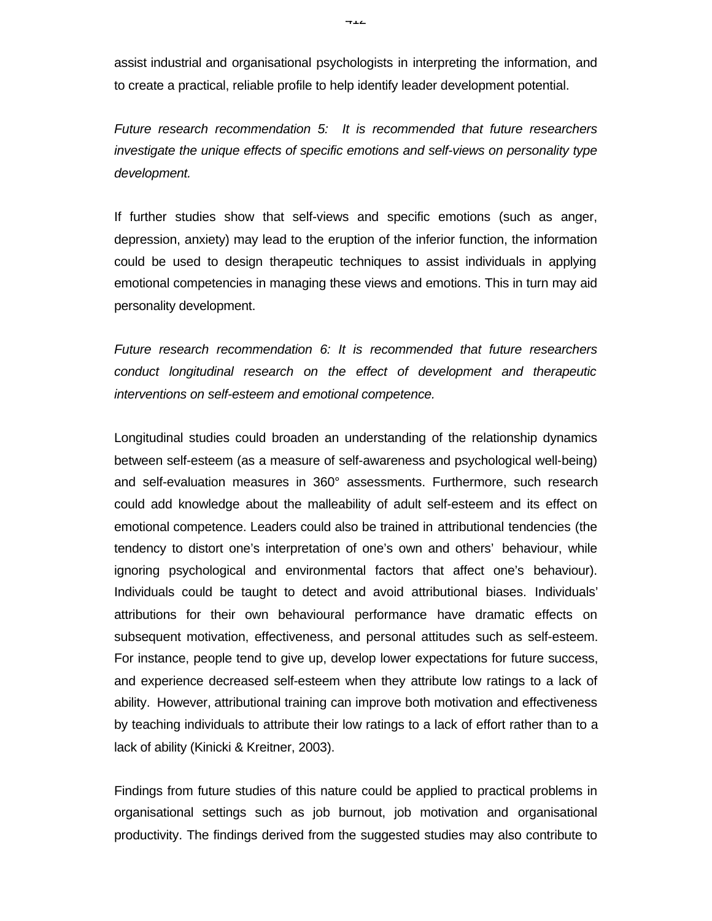assist industrial and organisational psychologists in interpreting the information, and to create a practical, reliable profile to help identify leader development potential.

*Future research recommendation 5: It is recommended that future researchers investigate the unique effects of specific emotions and self-views on personality type development.*

If further studies show that self-views and specific emotions (such as anger, depression, anxiety) may lead to the eruption of the inferior function, the information could be used to design therapeutic techniques to assist individuals in applying emotional competencies in managing these views and emotions. This in turn may aid personality development.

*Future research recommendation 6: It is recommended that future researchers conduct longitudinal research on the effect of development and therapeutic interventions on self-esteem and emotional competence.*

Longitudinal studies could broaden an understanding of the relationship dynamics between self-esteem (as a measure of self-awareness and psychological well-being) and self-evaluation measures in 360° assessments. Furthermore, such research could add knowledge about the malleability of adult self-esteem and its effect on emotional competence. Leaders could also be trained in attributional tendencies (the tendency to distort one's interpretation of one's own and others' behaviour, while ignoring psychological and environmental factors that affect one's behaviour). Individuals could be taught to detect and avoid attributional biases. Individuals' attributions for their own behavioural performance have dramatic effects on subsequent motivation, effectiveness, and personal attitudes such as self-esteem. For instance, people tend to give up, develop lower expectations for future success, and experience decreased self-esteem when they attribute low ratings to a lack of ability. However, attributional training can improve both motivation and effectiveness by teaching individuals to attribute their low ratings to a lack of effort rather than to a lack of ability (Kinicki & Kreitner, 2003).

Findings from future studies of this nature could be applied to practical problems in organisational settings such as job burnout, job motivation and organisational productivity. The findings derived from the suggested studies may also contribute to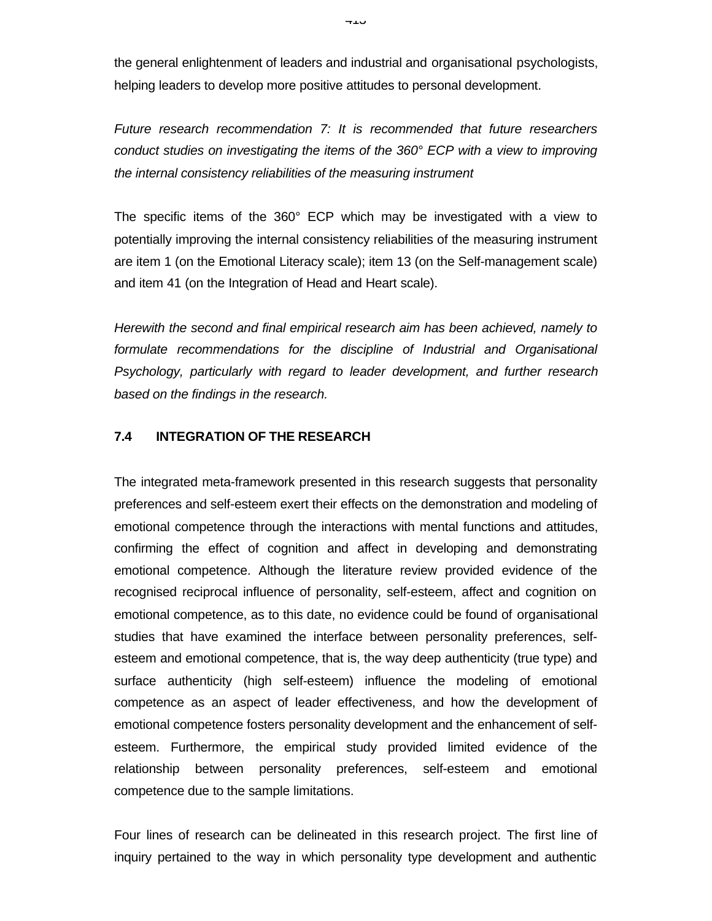the general enlightenment of leaders and industrial and organisational psychologists, helping leaders to develop more positive attitudes to personal development.

*Future research recommendation 7: It is recommended that future researchers conduct studies on investigating the items of the 360° ECP with a view to improving the internal consistency reliabilities of the measuring instrument*

The specific items of the 360° ECP which may be investigated with a view to potentially improving the internal consistency reliabilities of the measuring instrument are item 1 (on the Emotional Literacy scale); item 13 (on the Self-management scale) and item 41 (on the Integration of Head and Heart scale).

*Herewith the second and final empirical research aim has been achieved, namely to formulate recommendations for the discipline of Industrial and Organisational Psychology, particularly with regard to leader development, and further research based on the findings in the research.*

### **7.4 INTEGRATION OF THE RESEARCH**

The integrated meta-framework presented in this research suggests that personality preferences and self-esteem exert their effects on the demonstration and modeling of emotional competence through the interactions with mental functions and attitudes, confirming the effect of cognition and affect in developing and demonstrating emotional competence. Although the literature review provided evidence of the recognised reciprocal influence of personality, self-esteem, affect and cognition on emotional competence, as to this date, no evidence could be found of organisational studies that have examined the interface between personality preferences, selfesteem and emotional competence, that is, the way deep authenticity (true type) and surface authenticity (high self-esteem) influence the modeling of emotional competence as an aspect of leader effectiveness, and how the development of emotional competence fosters personality development and the enhancement of selfesteem. Furthermore, the empirical study provided limited evidence of the relationship between personality preferences, self-esteem and emotional competence due to the sample limitations.

Four lines of research can be delineated in this research project. The first line of inquiry pertained to the way in which personality type development and authentic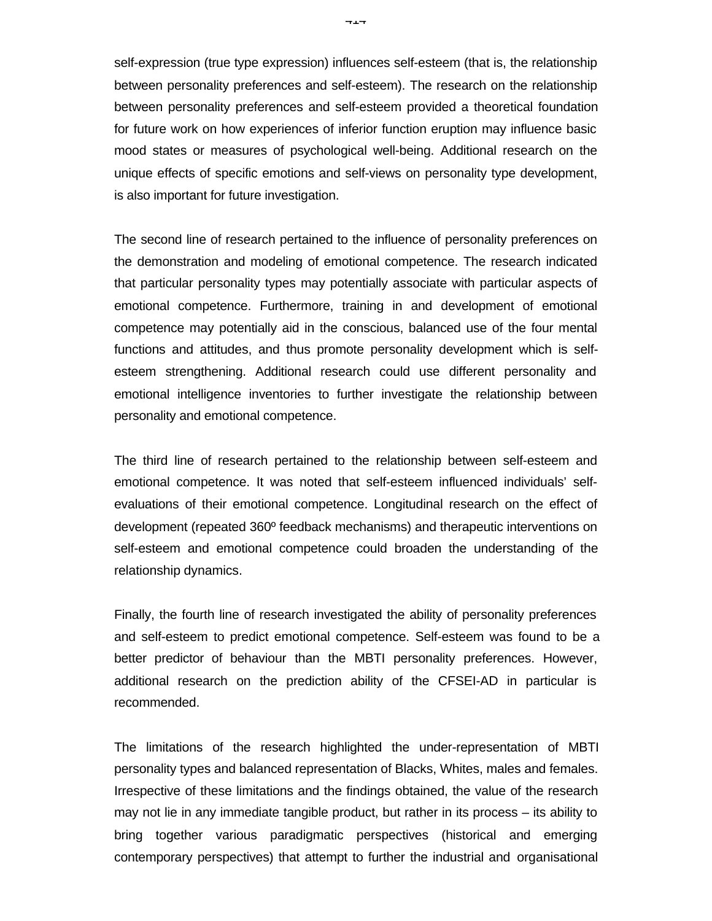self-expression (true type expression) influences self-esteem (that is, the relationship between personality preferences and self-esteem). The research on the relationship between personality preferences and self-esteem provided a theoretical foundation for future work on how experiences of inferior function eruption may influence basic mood states or measures of psychological well-being. Additional research on the unique effects of specific emotions and self-views on personality type development, is also important for future investigation.

The second line of research pertained to the influence of personality preferences on the demonstration and modeling of emotional competence. The research indicated that particular personality types may potentially associate with particular aspects of emotional competence. Furthermore, training in and development of emotional competence may potentially aid in the conscious, balanced use of the four mental functions and attitudes, and thus promote personality development which is selfesteem strengthening. Additional research could use different personality and emotional intelligence inventories to further investigate the relationship between personality and emotional competence.

The third line of research pertained to the relationship between self-esteem and emotional competence. It was noted that self-esteem influenced individuals' selfevaluations of their emotional competence. Longitudinal research on the effect of development (repeated 360º feedback mechanisms) and therapeutic interventions on self-esteem and emotional competence could broaden the understanding of the relationship dynamics.

Finally, the fourth line of research investigated the ability of personality preferences and self-esteem to predict emotional competence. Self-esteem was found to be a better predictor of behaviour than the MBTI personality preferences. However, additional research on the prediction ability of the CFSEI-AD in particular is recommended.

The limitations of the research highlighted the under-representation of MBTI personality types and balanced representation of Blacks, Whites, males and females. Irrespective of these limitations and the findings obtained, the value of the research may not lie in any immediate tangible product, but rather in its process – its ability to bring together various paradigmatic perspectives (historical and emerging contemporary perspectives) that attempt to further the industrial and organisational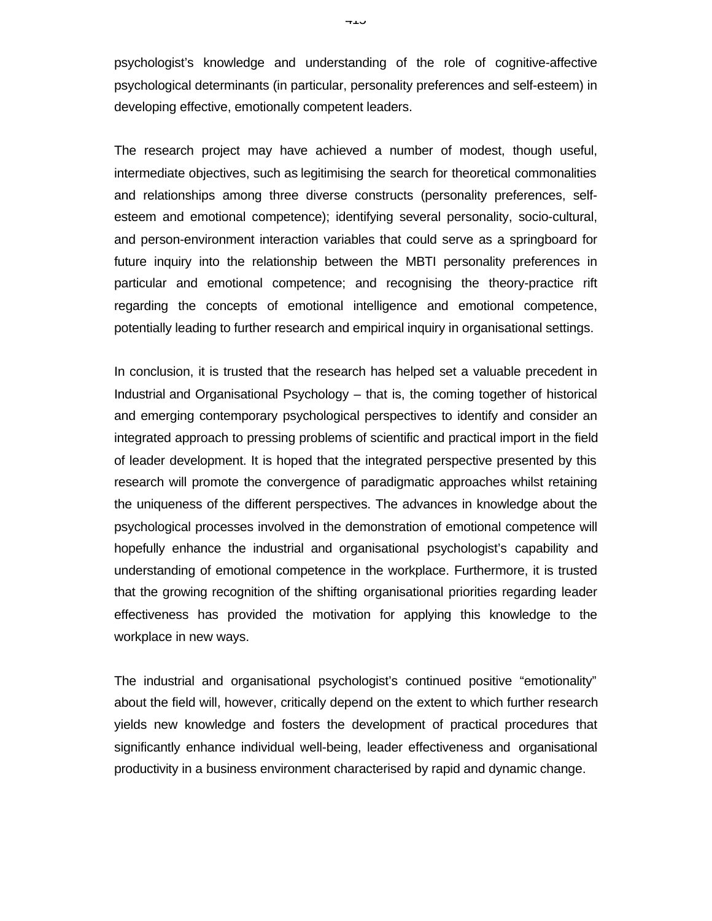psychologist's knowledge and understanding of the role of cognitive-affective psychological determinants (in particular, personality preferences and self-esteem) in developing effective, emotionally competent leaders.

The research project may have achieved a number of modest, though useful, intermediate objectives, such as legitimising the search for theoretical commonalities and relationships among three diverse constructs (personality preferences, selfesteem and emotional competence); identifying several personality, socio-cultural, and person-environment interaction variables that could serve as a springboard for future inquiry into the relationship between the MBTI personality preferences in particular and emotional competence; and recognising the theory-practice rift regarding the concepts of emotional intelligence and emotional competence, potentially leading to further research and empirical inquiry in organisational settings.

In conclusion, it is trusted that the research has helped set a valuable precedent in Industrial and Organisational Psychology – that is, the coming together of historical and emerging contemporary psychological perspectives to identify and consider an integrated approach to pressing problems of scientific and practical import in the field of leader development. It is hoped that the integrated perspective presented by this research will promote the convergence of paradigmatic approaches whilst retaining the uniqueness of the different perspectives. The advances in knowledge about the psychological processes involved in the demonstration of emotional competence will hopefully enhance the industrial and organisational psychologist's capability and understanding of emotional competence in the workplace. Furthermore, it is trusted that the growing recognition of the shifting organisational priorities regarding leader effectiveness has provided the motivation for applying this knowledge to the workplace in new ways.

The industrial and organisational psychologist's continued positive "emotionality" about the field will, however, critically depend on the extent to which further research yields new knowledge and fosters the development of practical procedures that significantly enhance individual well-being, leader effectiveness and organisational productivity in a business environment characterised by rapid and dynamic change.